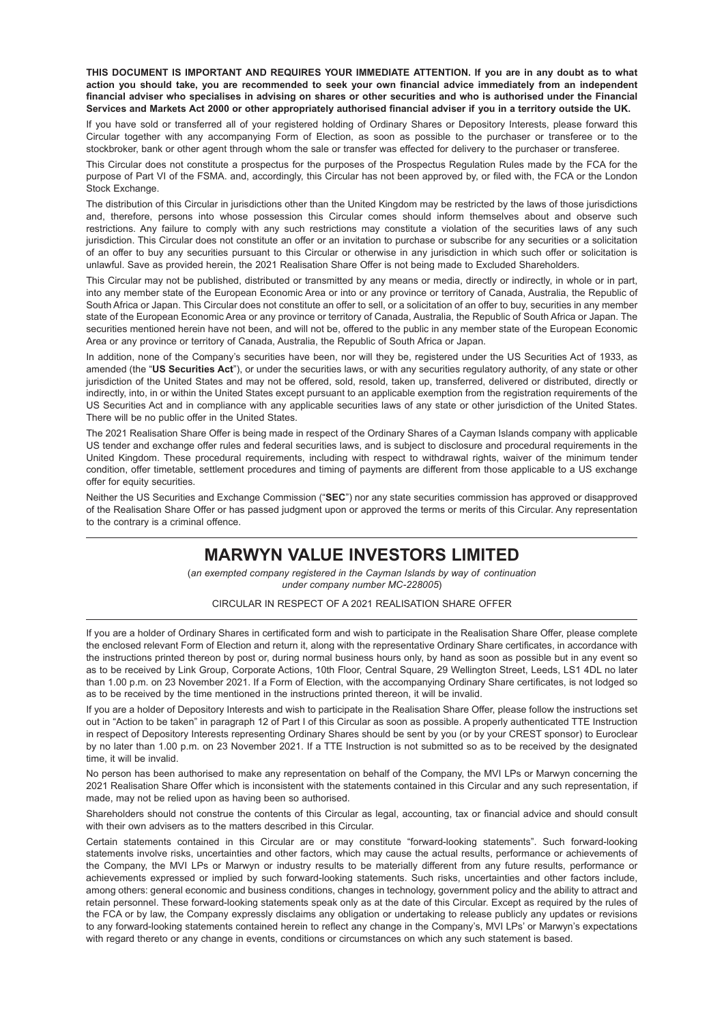THIS DOCUMENT IS IMPORTANT AND REQUIRES YOUR IMMEDIATE ATTENTION. If you are in any doubt as to what action you should take, you are recommended to seek your own financial advice immediately from an independent financial adviser who specialises in advising on shares or other securities and who is authorised under the Financial Services and Markets Act 2000 or other appropriately authorised financial adviser if you in a territory outside the UK.

If you have sold or transferred all of your registered holding of Ordinary Shares or Depository Interests, please forward this Circular together with any accompanying Form of Election, as soon as possible to the purchaser or transferee or to the stockbroker, bank or other agent through whom the sale or transfer was effected for delivery to the purchaser or transferee.

This Circular does not constitute a prospectus for the purposes of the Prospectus Regulation Rules made by the FCA for the purpose of Part VI of the FSMA. and, accordingly, this Circular has not been approved by, or filed with, the FCA or the London Stock Exchange.

The distribution of this Circular in jurisdictions other than the United Kingdom may be restricted by the laws of those jurisdictions and, therefore, persons into whose possession this Circular comes should inform themselves about and observe such restrictions. Any failure to comply with any such restrictions may constitute a violation of the securities laws of any such jurisdiction. This Circular does not constitute an offer or an invitation to purchase or subscribe for any securities or a solicitation of an offer to buy any securities pursuant to this Circular or otherwise in any jurisdiction in which such offer or solicitation is unlawful. Save as provided herein, the 2021 Realisation Share Offer is not being made to Excluded Shareholders.

This Circular may not be published, distributed or transmitted by any means or media, directly or indirectly, in whole or in part, into any member state of the European Economic Area or into or any province or territory of Canada, Australia, the Republic of South Africa or Japan. This Circular does not constitute an offer to sell, or a solicitation of an offer to buy, securities in any member state of the European Economic Area or any province or territory of Canada, Australia, the Republic of South Africa or Japan. The securities mentioned herein have not been, and will not be, offered to the public in any member state of the European Economic Area or any province or territory of Canada, Australia, the Republic of South Africa or Japan.

In addition, none of the Company's securities have been, nor will they be, registered under the US Securities Act of 1933, as amended (the "**US Securities Act**"), or under the securities laws, or with any securities regulatory authority, of any state or other jurisdiction of the United States and may not be offered, sold, resold, taken up, transferred, delivered or distributed, directly or indirectly, into, in or within the United States except pursuant to an applicable exemption from the registration requirements of the US Securities Act and in compliance with any applicable securities laws of any state or other jurisdiction of the United States. There will be no public offer in the United States.

The 2021 Realisation Share Offer is being made in respect of the Ordinary Shares of a Cayman Islands company with applicable US tender and exchange offer rules and federal securities laws, and is subject to disclosure and procedural requirements in the United Kingdom. These procedural requirements, including with respect to withdrawal rights, waiver of the minimum tender condition, offer timetable, settlement procedures and timing of payments are different from those applicable to a US exchange offer for equity securities.

Neither the US Securities and Exchange Commission ("**SEC**") nor any state securities commission has approved or disapproved of the Realisation Share Offer or has passed judgment upon or approved the terms or merits of this Circular. Any representation to the contrary is a criminal offence.

# **MARWYN VALUE INVESTORS LIMITED**

(*an exempted company registered in the Cayman Islands by way of continuation under company number MC-228005*)

CIRCULAR IN RESPECT OF A 2021 REALISATION SHARE OFFER

If you are a holder of Ordinary Shares in certificated form and wish to participate in the Realisation Share Offer, please complete the enclosed relevant Form of Election and return it, along with the representative Ordinary Share certificates, in accordance with the instructions printed thereon by post or, during normal business hours only, by hand as soon as possible but in any event so as to be received by Link Group, Corporate Actions, 10th Floor, Central Square, 29 Wellington Street, Leeds, LS1 4DL no later than 1.00 p.m. on 23 November 2021. If a Form of Election, with the accompanying Ordinary Share certificates, is not lodged so as to be received by the time mentioned in the instructions printed thereon, it will be invalid.

If you are a holder of Depository Interests and wish to participate in the Realisation Share Offer, please follow the instructions set out in "Action to be taken" in paragraph 12 of Part I of this Circular as soon as possible. A properly authenticated TTE Instruction in respect of Depository Interests representing Ordinary Shares should be sent by you (or by your CREST sponsor) to Euroclear by no later than 1.00 p.m. on 23 November 2021. If a TTE Instruction is not submitted so as to be received by the designated time, it will be invalid.

No person has been authorised to make any representation on behalf of the Company, the MVI LPs or Marwyn concerning the 2021 Realisation Share Offer which is inconsistent with the statements contained in this Circular and any such representation, if made, may not be relied upon as having been so authorised.

Shareholders should not construe the contents of this Circular as legal, accounting, tax or financial advice and should consult with their own advisers as to the matters described in this Circular.

Certain statements contained in this Circular are or may constitute "forward-looking statements". Such forward-looking statements involve risks, uncertainties and other factors, which may cause the actual results, performance or achievements of the Company, the MVI LPs or Marwyn or industry results to be materially different from any future results, performance or achievements expressed or implied by such forward-looking statements. Such risks, uncertainties and other factors include, among others: general economic and business conditions, changes in technology, government policy and the ability to attract and retain personnel. These forward-looking statements speak only as at the date of this Circular. Except as required by the rules of the FCA or by law, the Company expressly disclaims any obligation or undertaking to release publicly any updates or revisions to any forward-looking statements contained herein to reflect any change in the Company's, MVI LPs' or Marwyn's expectations with regard thereto or any change in events, conditions or circumstances on which any such statement is based.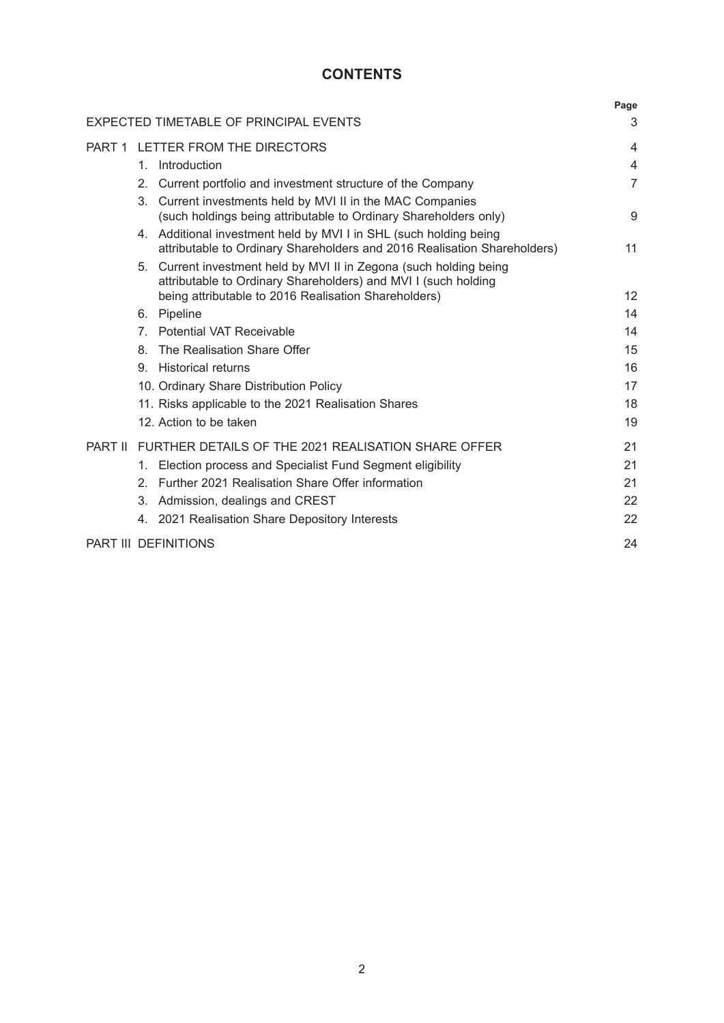# **CONTENTS**

|                |                                                                                                                                                                                              | Page           |
|----------------|----------------------------------------------------------------------------------------------------------------------------------------------------------------------------------------------|----------------|
|                | EXPECTED TIMETABLE OF PRINCIPAL EVENTS                                                                                                                                                       | 3              |
|                | PART 1 LETTER FROM THE DIRECTORS                                                                                                                                                             | $\overline{4}$ |
|                | Introduction<br>1.                                                                                                                                                                           | $\overline{4}$ |
|                | 2.<br>Current portfolio and investment structure of the Company                                                                                                                              | $\overline{7}$ |
|                | 3.<br>Current investments held by MVI II in the MAC Companies<br>(such holdings being attributable to Ordinary Shareholders only)                                                            | 9              |
|                | 4. Additional investment held by MVI I in SHL (such holding being<br>attributable to Ordinary Shareholders and 2016 Realisation Shareholders)                                                | 11             |
|                | 5. Current investment held by MVI II in Zegona (such holding being<br>attributable to Ordinary Shareholders) and MVI I (such holding<br>being attributable to 2016 Realisation Shareholders) | 12             |
|                | Pipeline<br>6.                                                                                                                                                                               | 14             |
|                | <b>Potential VAT Receivable</b><br>$7^{\circ}$                                                                                                                                               | 14             |
|                | The Realisation Share Offer<br>8.                                                                                                                                                            | 15             |
|                | <b>Historical returns</b><br>9.                                                                                                                                                              | 16             |
|                | 10. Ordinary Share Distribution Policy                                                                                                                                                       | 17             |
|                | 11. Risks applicable to the 2021 Realisation Shares                                                                                                                                          | 18             |
|                | 12. Action to be taken                                                                                                                                                                       | 19             |
| <b>PART II</b> | FURTHER DETAILS OF THE 2021 REALISATION SHARE OFFER                                                                                                                                          | 21             |
|                | 1. Election process and Specialist Fund Segment eligibility                                                                                                                                  | 21             |
|                | Further 2021 Realisation Share Offer information<br>$\mathcal{P}$                                                                                                                            | 21             |
|                | Admission, dealings and CREST<br>3.                                                                                                                                                          | 22             |
|                | 4. 2021 Realisation Share Depository Interests                                                                                                                                               | 22             |
|                | <b>PART III DEFINITIONS</b>                                                                                                                                                                  | 24             |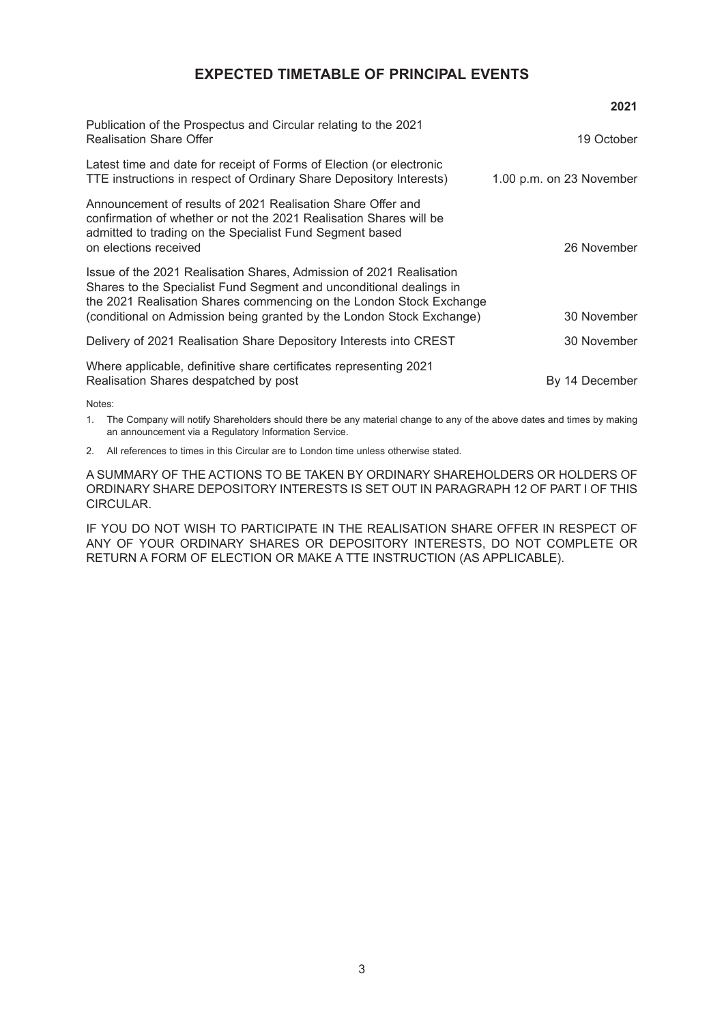# **EXPECTED TIMETABLE OF PRINCIPAL EVENTS**

|                                                                                                                                                                                                                                                                                            | 2021                     |
|--------------------------------------------------------------------------------------------------------------------------------------------------------------------------------------------------------------------------------------------------------------------------------------------|--------------------------|
| Publication of the Prospectus and Circular relating to the 2021<br><b>Realisation Share Offer</b>                                                                                                                                                                                          | 19 October               |
| Latest time and date for receipt of Forms of Election (or electronic<br>TTE instructions in respect of Ordinary Share Depository Interests)                                                                                                                                                | 1.00 p.m. on 23 November |
| Announcement of results of 2021 Realisation Share Offer and<br>confirmation of whether or not the 2021 Realisation Shares will be<br>admitted to trading on the Specialist Fund Segment based<br>on elections received                                                                     | 26 November              |
| Issue of the 2021 Realisation Shares, Admission of 2021 Realisation<br>Shares to the Specialist Fund Segment and unconditional dealings in<br>the 2021 Realisation Shares commencing on the London Stock Exchange<br>(conditional on Admission being granted by the London Stock Exchange) | 30 November              |
| Delivery of 2021 Realisation Share Depository Interests into CREST                                                                                                                                                                                                                         | 30 November              |
| Where applicable, definitive share certificates representing 2021<br>Realisation Shares despatched by post                                                                                                                                                                                 | By 14 December           |
| $N = 1 - 1$                                                                                                                                                                                                                                                                                |                          |

Notes:

1. The Company will notify Shareholders should there be any material change to any of the above dates and times by making an announcement via a Regulatory Information Service.

2. All references to times in this Circular are to London time unless otherwise stated.

A SUMMARY OF THE ACTIONS TO BE TAKEN BY ORDINARY SHAREHOLDERS OR HOLDERS OF ORDINARY SHARE DEPOSITORY INTERESTS IS SET OUT IN PARAGRAPH 12 OF PART I OF THIS CIRCULAR.

IF YOU DO NOT WISH TO PARTICIPATE IN THE REALISATION SHARE OFFER IN RESPECT OF ANY OF YOUR ORDINARY SHARES OR DEPOSITORY INTERESTS, DO NOT COMPLETE OR RETURN A FORM OF ELECTION OR MAKE A TTE INSTRUCTION (AS APPLICABLE).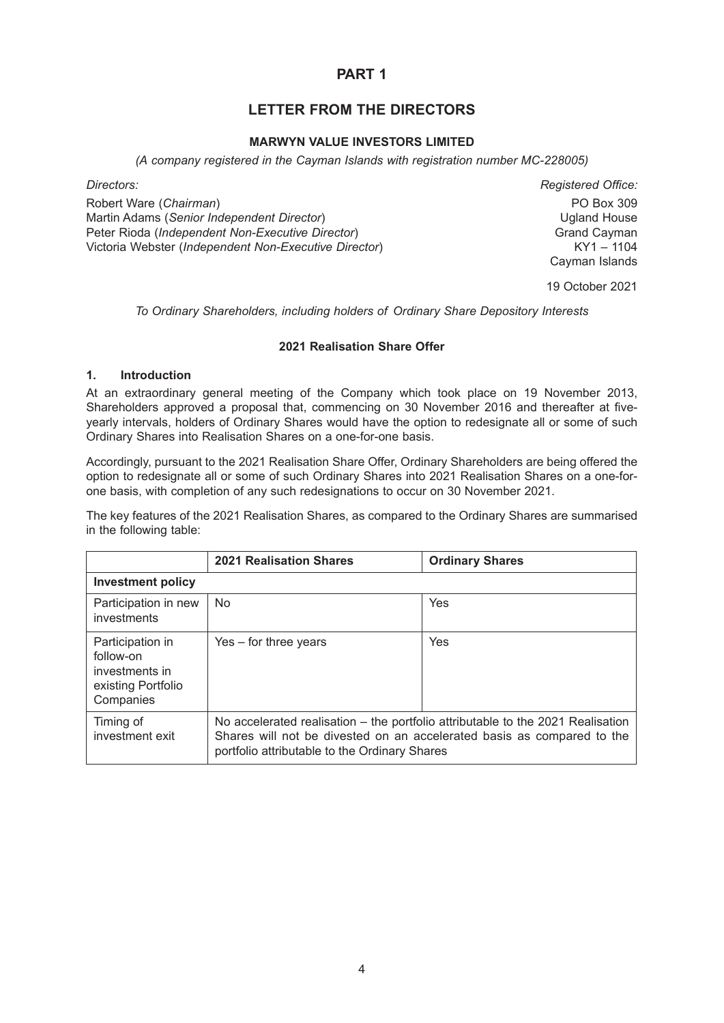# **PART 1**

# **LETTER FROM THE DIRECTORS**

### **MARWYN VALUE INVESTORS LIMITED**

*(A company registered in the Cayman Islands with registration number MC-228005)*

Robert Ware (*Chairman*) PO Box 309 Martin Adams (*Senior Independent Director*) Ugland House Peter Rioda (*Independent Non-Executive Director*)<br>Victoria Webster (*Independent Non-Executive Director*) Grand Cayman<br>KY1 – 1104 Victoria Webster (*Independent Non-Executive Director*)

*Directors: Registered Office:* Cayman Islands

19 October 2021

*To Ordinary Shareholders, including holders of Ordinary Share Depository Interests*

### **2021 Realisation Share Offer**

#### **1. Introduction**

At an extraordinary general meeting of the Company which took place on 19 November 2013, Shareholders approved a proposal that, commencing on 30 November 2016 and thereafter at fiveyearly intervals, holders of Ordinary Shares would have the option to redesignate all or some of such Ordinary Shares into Realisation Shares on a one-for-one basis.

Accordingly, pursuant to the 2021 Realisation Share Offer, Ordinary Shareholders are being offered the option to redesignate all or some of such Ordinary Shares into 2021 Realisation Shares on a one-forone basis, with completion of any such redesignations to occur on 30 November 2021.

The key features of the 2021 Realisation Shares, as compared to the Ordinary Shares are summarised in the following table:

|                                                                                    | <b>2021 Realisation Shares</b>                                                                                                                                                                             | <b>Ordinary Shares</b> |
|------------------------------------------------------------------------------------|------------------------------------------------------------------------------------------------------------------------------------------------------------------------------------------------------------|------------------------|
| Investment policy                                                                  |                                                                                                                                                                                                            |                        |
| Participation in new<br>investments                                                | <b>No</b>                                                                                                                                                                                                  | Yes                    |
| Participation in<br>follow-on<br>investments in<br>existing Portfolio<br>Companies | $Yes - for three years$                                                                                                                                                                                    | Yes                    |
| Timing of<br>investment exit                                                       | No accelerated realisation – the portfolio attributable to the 2021 Realisation<br>Shares will not be divested on an accelerated basis as compared to the<br>portfolio attributable to the Ordinary Shares |                        |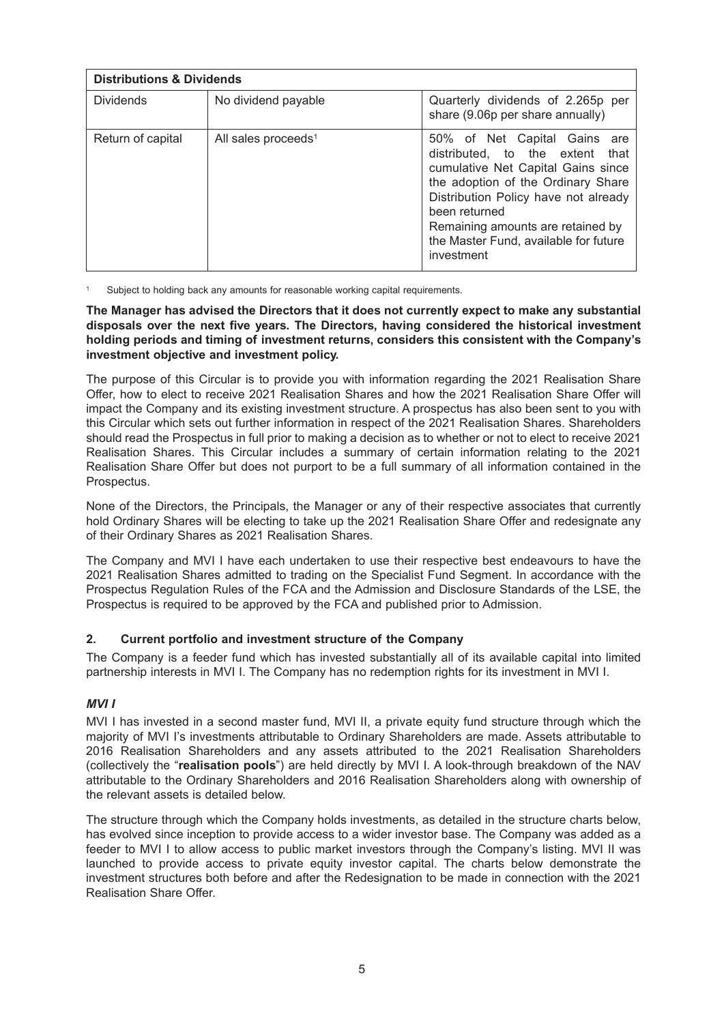| <b>Distributions &amp; Dividends</b> |                                 |                                                                                                                                                                                                                                                                                                        |  |
|--------------------------------------|---------------------------------|--------------------------------------------------------------------------------------------------------------------------------------------------------------------------------------------------------------------------------------------------------------------------------------------------------|--|
| <b>Dividends</b>                     | No dividend payable             | Quarterly dividends of 2.265p per<br>share (9.06p per share annually)                                                                                                                                                                                                                                  |  |
| Return of capital                    | All sales proceeds <sup>1</sup> | 50% of Net Capital Gains<br>are<br>distributed, to the extent<br>that<br>cumulative Net Capital Gains since<br>the adoption of the Ordinary Share<br>Distribution Policy have not already<br>been returned<br>Remaining amounts are retained by<br>the Master Fund, available for future<br>investment |  |

Subject to holding back any amounts for reasonable working capital requirements.

**The Manager has advised the Directors that it does not currently expect to make any substantial disposals over the next five years. The Directors, having considered the historical investment holding periods and timing of investment returns, considers this consistent with the Company's investment objective and investment policy.**

The purpose of this Circular is to provide you with information regarding the 2021 Realisation Share Offer, how to elect to receive 2021 Realisation Shares and how the 2021 Realisation Share Offer will impact the Company and its existing investment structure. A prospectus has also been sent to you with this Circular which sets out further information in respect of the 2021 Realisation Shares. Shareholders should read the Prospectus in full prior to making a decision as to whether or not to elect to receive 2021 Realisation Shares. This Circular includes a summary of certain information relating to the 2021 Realisation Share Offer but does not purport to be a full summary of all information contained in the Prospectus.

None of the Directors, the Principals, the Manager or any of their respective associates that currently hold Ordinary Shares will be electing to take up the 2021 Realisation Share Offer and redesignate any of their Ordinary Shares as 2021 Realisation Shares.

The Company and MVI I have each undertaken to use their respective best endeavours to have the 2021 Realisation Shares admitted to trading on the Specialist Fund Segment. In accordance with the Prospectus Regulation Rules of the FCA and the Admission and Disclosure Standards of the LSE, the Prospectus is required to be approved by the FCA and published prior to Admission.

### **2. Current portfolio and investment structure of the Company**

The Company is a feeder fund which has invested substantially all of its available capital into limited partnership interests in MVI I. The Company has no redemption rights for its investment in MVI I.

### *MVI I*

MVI I has invested in a second master fund, MVI II, a private equity fund structure through which the majority of MVI I's investments attributable to Ordinary Shareholders are made. Assets attributable to 2016 Realisation Shareholders and any assets attributed to the 2021 Realisation Shareholders (collectively the "**realisation pools**") are held directly by MVI I. A look-through breakdown of the NAV attributable to the Ordinary Shareholders and 2016 Realisation Shareholders along with ownership of the relevant assets is detailed below.

The structure through which the Company holds investments, as detailed in the structure charts below, has evolved since inception to provide access to a wider investor base. The Company was added as a feeder to MVI I to allow access to public market investors through the Company's listing. MVI II was launched to provide access to private equity investor capital. The charts below demonstrate the investment structures both before and after the Redesignation to be made in connection with the 2021 Realisation Share Offer.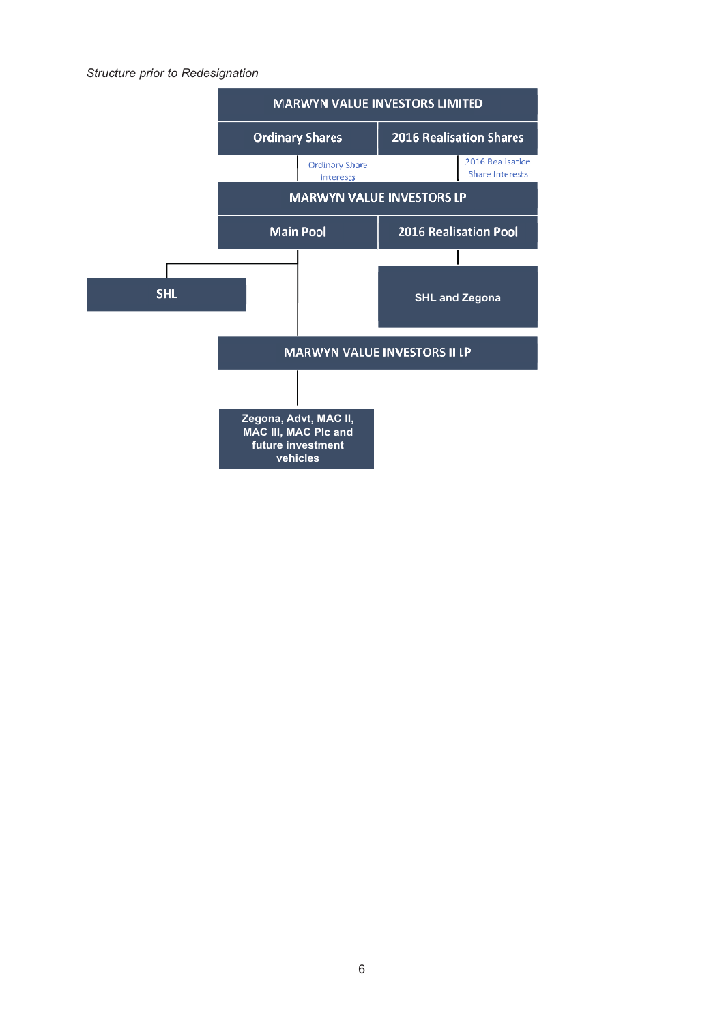### *Structure prior to Redesignation*

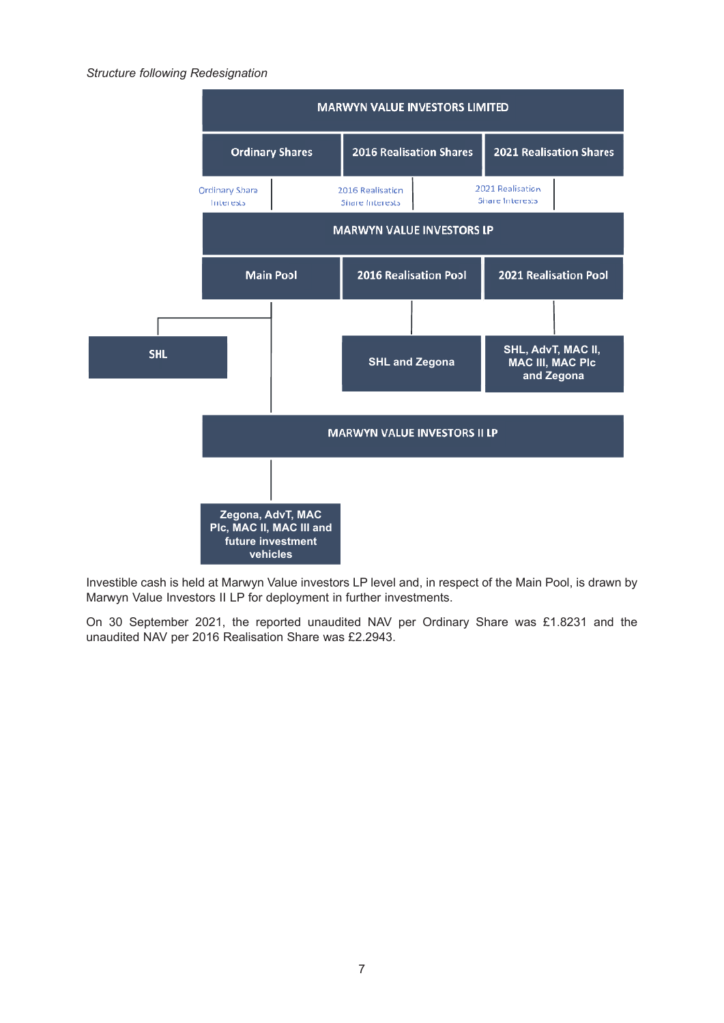#### *Structure following Redesignation*



Investible cash is held at Marwyn Value investors LP level and, in respect of the Main Pool, is drawn by Marwyn Value Investors II LP for deployment in further investments.

On 30 September 2021, the reported unaudited NAV per Ordinary Share was £1.8231 and the unaudited NAV per 2016 Realisation Share was £2.2943.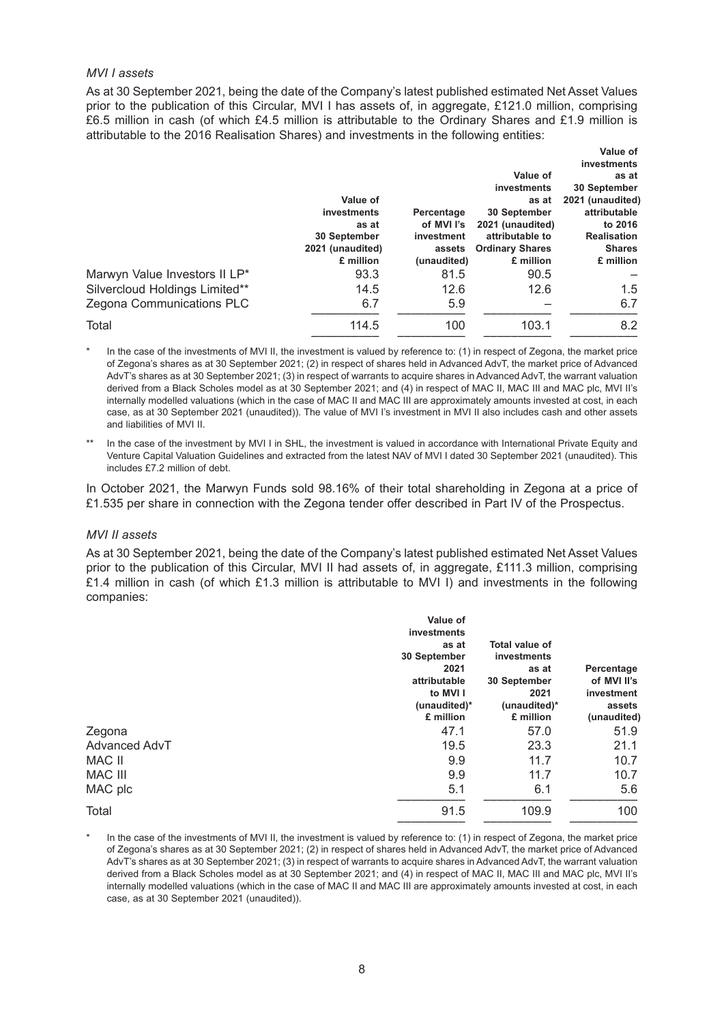#### *MVI I assets*

As at 30 September 2021, being the date of the Company's latest published estimated Net Asset Values prior to the publication of this Circular, MVI I has assets of, in aggregate, £121.0 million, comprising £6.5 million in cash (of which £4.5 million is attributable to the Ordinary Shares and £1.9 million is attributable to the 2016 Realisation Shares) and investments in the following entities:

|                                |                  |             |                        | Value of           |
|--------------------------------|------------------|-------------|------------------------|--------------------|
|                                |                  |             |                        | investments        |
|                                |                  |             | Value of               | as at              |
|                                |                  |             | investments            | 30 September       |
|                                | Value of         |             | as at                  | 2021 (unaudited)   |
|                                | investments      | Percentage  | 30 September           | attributable       |
|                                | as at            | of MVI I's  | 2021 (unaudited)       | to 2016            |
|                                | 30 September     | investment  | attributable to        | <b>Realisation</b> |
|                                | 2021 (unaudited) | assets      | <b>Ordinary Shares</b> | <b>Shares</b>      |
|                                | £ million        | (unaudited) | £ million              | £ million          |
| Marwyn Value Investors II LP*  | 93.3             | 81.5        | 90.5                   |                    |
| Silvercloud Holdings Limited** | 14.5             | 12.6        | 12.6                   | 1.5                |
| Zegona Communications PLC      | 6.7              | 5.9         |                        | 6.7                |
| Total                          | 114.5            | 100         | 103.1                  | 8.2                |
|                                |                  |             |                        |                    |

- In the case of the investments of MVI II, the investment is valued by reference to: (1) in respect of Zegona, the market price of Zegona's shares as at 30 September 2021; (2) in respect of shares held in Advanced AdvT, the market price of Advanced AdvT's shares as at 30 September 2021; (3) in respect of warrants to acquire shares in Advanced AdvT, the warrant valuation derived from a Black Scholes model as at 30 September 2021; and (4) in respect of MAC II, MAC III and MAC plc, MVI II's internally modelled valuations (which in the case of MAC II and MAC III are approximately amounts invested at cost, in each case, as at 30 September 2021 (unaudited)). The value of MVI I's investment in MVI II also includes cash and other assets and liabilities of MVI II.
- In the case of the investment by MVI I in SHL, the investment is valued in accordance with International Private Equity and Venture Capital Valuation Guidelines and extracted from the latest NAV of MVI I dated 30 September 2021 (unaudited). This includes £7.2 million of debt.

In October 2021, the Marwyn Funds sold 98.16% of their total shareholding in Zegona at a price of £1.535 per share in connection with the Zegona tender offer described in Part IV of the Prospectus.

#### *MVI II assets*

As at 30 September 2021, being the date of the Company's latest published estimated Net Asset Values prior to the publication of this Circular, MVI II had assets of, in aggregate, £111.3 million, comprising £1.4 million in cash (of which £1.3 million is attributable to MVI I) and investments in the following companies:

|                | Value of<br>investments                                                   |                                                                                       |                                                   |
|----------------|---------------------------------------------------------------------------|---------------------------------------------------------------------------------------|---------------------------------------------------|
|                | as at<br>30 September<br>2021<br>attributable<br>to MVI I<br>(unaudited)* | <b>Total value of</b><br>investments<br>as at<br>30 September<br>2021<br>(unaudited)* | Percentage<br>of MVI II's<br>investment<br>assets |
|                | £ million                                                                 | £ million                                                                             | (unaudited)                                       |
| Zegona         | 47.1                                                                      | 57.0                                                                                  | 51.9                                              |
| Advanced AdvT  | 19.5                                                                      | 23.3                                                                                  | 21.1                                              |
| MAC II         | 9.9                                                                       | 11.7                                                                                  | 10.7                                              |
| <b>MAC III</b> | 9.9                                                                       | 11.7                                                                                  | 10.7                                              |
| MAC plc        | 5.1                                                                       | 6.1                                                                                   | 5.6                                               |
| Total          | 91.5                                                                      | 109.9                                                                                 | 100                                               |

In the case of the investments of MVI II, the investment is valued by reference to: (1) in respect of Zegona, the market price of Zegona's shares as at 30 September 2021; (2) in respect of shares held in Advanced AdvT, the market price of Advanced AdvT's shares as at 30 September 2021; (3) in respect of warrants to acquire shares in Advanced AdvT, the warrant valuation derived from a Black Scholes model as at 30 September 2021; and (4) in respect of MAC II, MAC III and MAC plc, MVI II's internally modelled valuations (which in the case of MAC II and MAC III are approximately amounts invested at cost, in each case, as at 30 September 2021 (unaudited)).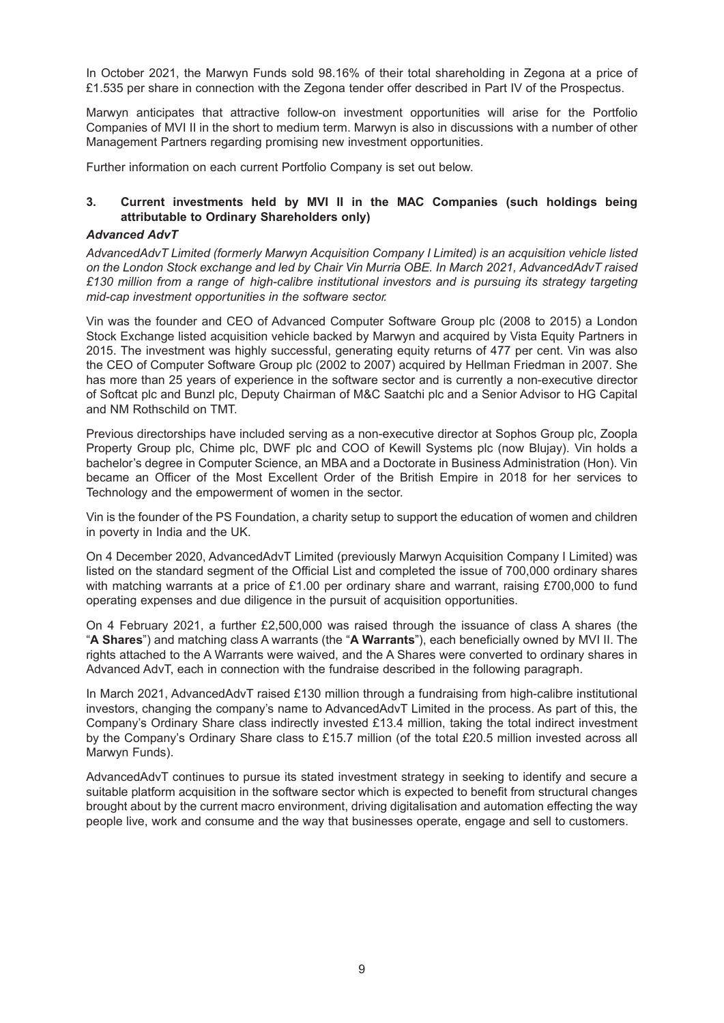In October 2021, the Marwyn Funds sold 98.16% of their total shareholding in Zegona at a price of £1.535 per share in connection with the Zegona tender offer described in Part IV of the Prospectus.

Marwyn anticipates that attractive follow-on investment opportunities will arise for the Portfolio Companies of MVI II in the short to medium term. Marwyn is also in discussions with a number of other Management Partners regarding promising new investment opportunities.

Further information on each current Portfolio Company is set out below.

### **3. Current investments held by MVI II in the MAC Companies (such holdings being attributable to Ordinary Shareholders only)**

#### *Advanced AdvT*

*AdvancedAdvT Limited (formerly Marwyn Acquisition Company I Limited) is an acquisition vehicle listed on the London Stock exchange and led by Chair Vin Murria OBE. In March 2021, AdvancedAdvT raised £130 million from a range of high-calibre institutional investors and is pursuing its strategy targeting mid-cap investment opportunities in the software sector.*

Vin was the founder and CEO of Advanced Computer Software Group plc (2008 to 2015) a London Stock Exchange listed acquisition vehicle backed by Marwyn and acquired by Vista Equity Partners in 2015. The investment was highly successful, generating equity returns of 477 per cent. Vin was also the CEO of Computer Software Group plc (2002 to 2007) acquired by Hellman Friedman in 2007. She has more than 25 years of experience in the software sector and is currently a non-executive director of Softcat plc and Bunzl plc, Deputy Chairman of M&C Saatchi plc and a Senior Advisor to HG Capital and NM Rothschild on TMT.

Previous directorships have included serving as a non-executive director at Sophos Group plc, Zoopla Property Group plc, Chime plc, DWF plc and COO of Kewill Systems plc (now Blujay). Vin holds a bachelor's degree in Computer Science, an MBA and a Doctorate in Business Administration (Hon). Vin became an Officer of the Most Excellent Order of the British Empire in 2018 for her services to Technology and the empowerment of women in the sector.

Vin is the founder of the PS Foundation, a charity setup to support the education of women and children in poverty in India and the UK.

On 4 December 2020, AdvancedAdvT Limited (previously Marwyn Acquisition Company I Limited) was listed on the standard segment of the Official List and completed the issue of 700,000 ordinary shares with matching warrants at a price of £1.00 per ordinary share and warrant, raising £700,000 to fund operating expenses and due diligence in the pursuit of acquisition opportunities.

On 4 February 2021, a further £2,500,000 was raised through the issuance of class A shares (the "**A Shares**") and matching class A warrants (the "**A Warrants**"), each beneficially owned by MVI II. The rights attached to the A Warrants were waived, and the A Shares were converted to ordinary shares in Advanced AdvT, each in connection with the fundraise described in the following paragraph.

In March 2021, AdvancedAdvT raised £130 million through a fundraising from high-calibre institutional investors, changing the company's name to AdvancedAdvT Limited in the process. As part of this, the Company's Ordinary Share class indirectly invested £13.4 million, taking the total indirect investment by the Company's Ordinary Share class to £15.7 million (of the total £20.5 million invested across all Marwyn Funds).

AdvancedAdvT continues to pursue its stated investment strategy in seeking to identify and secure a suitable platform acquisition in the software sector which is expected to benefit from structural changes brought about by the current macro environment, driving digitalisation and automation effecting the way people live, work and consume and the way that businesses operate, engage and sell to customers.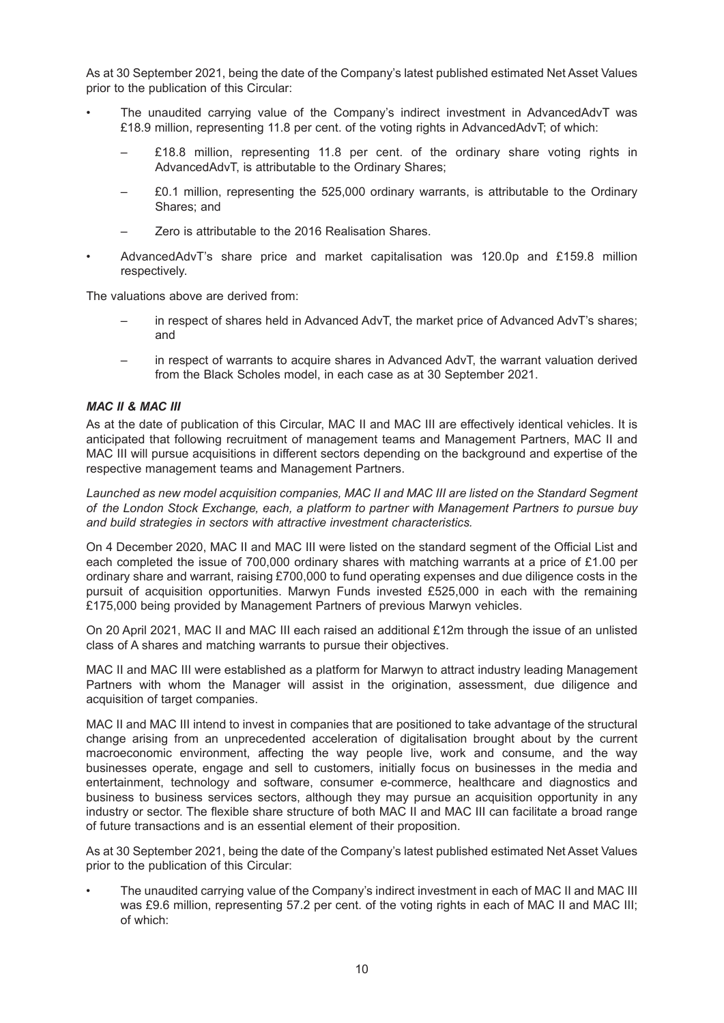As at 30 September 2021, being the date of the Company's latest published estimated Net Asset Values prior to the publication of this Circular:

- The unaudited carrying value of the Company's indirect investment in AdvancedAdvT was £18.9 million, representing 11.8 per cent. of the voting rights in AdvancedAdvT; of which:
	- £18.8 million, representing 11.8 per cent. of the ordinary share voting rights in AdvancedAdvT, is attributable to the Ordinary Shares;
	- £0.1 million, representing the 525,000 ordinary warrants, is attributable to the Ordinary Shares; and
	- Zero is attributable to the 2016 Realisation Shares.
- AdvancedAdvT's share price and market capitalisation was 120.0p and £159.8 million respectively.

The valuations above are derived from:

- in respect of shares held in Advanced AdvT, the market price of Advanced AdvT's shares; and
- in respect of warrants to acquire shares in Advanced AdvT, the warrant valuation derived from the Black Scholes model, in each case as at 30 September 2021.

#### *MAC II & MAC III*

As at the date of publication of this Circular, MAC II and MAC III are effectively identical vehicles. It is anticipated that following recruitment of management teams and Management Partners, MAC II and MAC III will pursue acquisitions in different sectors depending on the background and expertise of the respective management teams and Management Partners.

*Launched as new model acquisition companies, MAC II and MAC III are listed on the Standard Segment of the London Stock Exchange, each, a platform to partner with Management Partners to pursue buy and build strategies in sectors with attractive investment characteristics.*

On 4 December 2020, MAC II and MAC III were listed on the standard segment of the Official List and each completed the issue of 700,000 ordinary shares with matching warrants at a price of £1.00 per ordinary share and warrant, raising £700,000 to fund operating expenses and due diligence costs in the pursuit of acquisition opportunities. Marwyn Funds invested £525,000 in each with the remaining £175,000 being provided by Management Partners of previous Marwyn vehicles.

On 20 April 2021, MAC II and MAC III each raised an additional £12m through the issue of an unlisted class of A shares and matching warrants to pursue their objectives.

MAC II and MAC III were established as a platform for Marwyn to attract industry leading Management Partners with whom the Manager will assist in the origination, assessment, due diligence and acquisition of target companies.

MAC II and MAC III intend to invest in companies that are positioned to take advantage of the structural change arising from an unprecedented acceleration of digitalisation brought about by the current macroeconomic environment, affecting the way people live, work and consume, and the way businesses operate, engage and sell to customers, initially focus on businesses in the media and entertainment, technology and software, consumer e-commerce, healthcare and diagnostics and business to business services sectors, although they may pursue an acquisition opportunity in any industry or sector. The flexible share structure of both MAC II and MAC III can facilitate a broad range of future transactions and is an essential element of their proposition.

As at 30 September 2021, being the date of the Company's latest published estimated Net Asset Values prior to the publication of this Circular:

• The unaudited carrying value of the Company's indirect investment in each of MAC II and MAC III was £9.6 million, representing 57.2 per cent. of the voting rights in each of MAC II and MAC III; of which: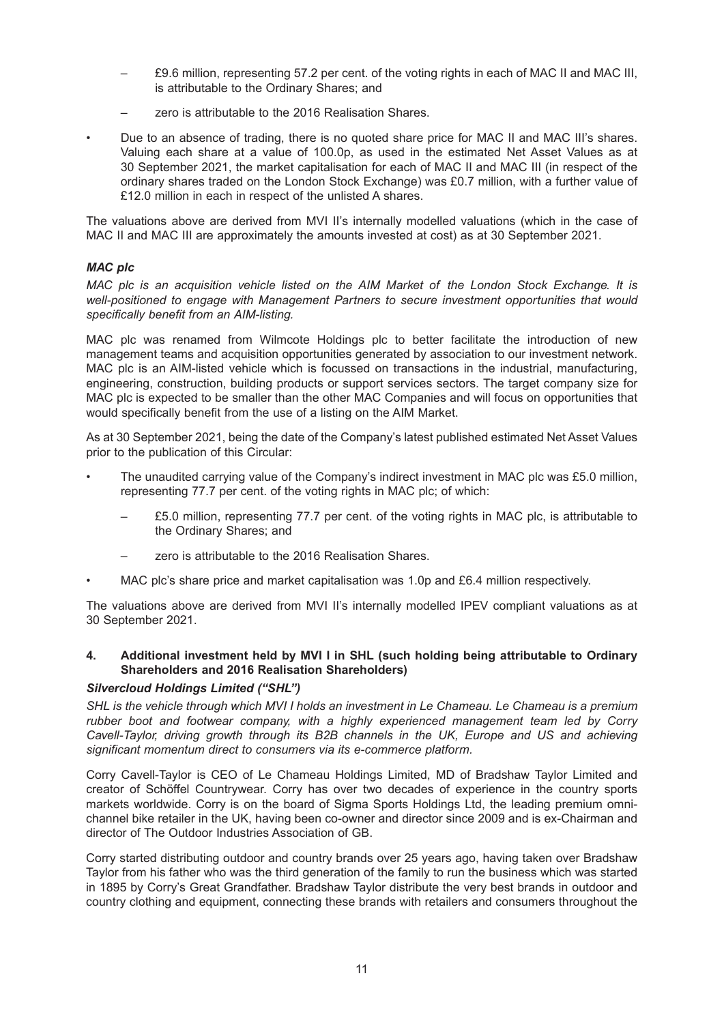- £9.6 million, representing 57.2 per cent. of the voting rights in each of MAC II and MAC III, is attributable to the Ordinary Shares; and
- zero is attributable to the 2016 Realisation Shares.
- Due to an absence of trading, there is no quoted share price for MAC II and MAC III's shares. Valuing each share at a value of 100.0p, as used in the estimated Net Asset Values as at 30 September 2021, the market capitalisation for each of MAC II and MAC III (in respect of the ordinary shares traded on the London Stock Exchange) was £0.7 million, with a further value of £12.0 million in each in respect of the unlisted A shares.

The valuations above are derived from MVI II's internally modelled valuations (which in the case of MAC II and MAC III are approximately the amounts invested at cost) as at 30 September 2021.

### *MAC plc*

*MAC plc is an acquisition vehicle listed on the AIM Market of the London Stock Exchange. It is well-positioned to engage with Management Partners to secure investment opportunities that would specifically benefit from an AIM-listing.*

MAC plc was renamed from Wilmcote Holdings plc to better facilitate the introduction of new management teams and acquisition opportunities generated by association to our investment network. MAC plc is an AIM-listed vehicle which is focussed on transactions in the industrial, manufacturing, engineering, construction, building products or support services sectors. The target company size for MAC plc is expected to be smaller than the other MAC Companies and will focus on opportunities that would specifically benefit from the use of a listing on the AIM Market.

As at 30 September 2021, being the date of the Company's latest published estimated Net Asset Values prior to the publication of this Circular:

- The unaudited carrying value of the Company's indirect investment in MAC plc was £5.0 million, representing 77.7 per cent. of the voting rights in MAC plc; of which:
	- £5.0 million, representing 77.7 per cent. of the voting rights in MAC plc, is attributable to the Ordinary Shares; and
	- zero is attributable to the 2016 Realisation Shares.
- MAC plc's share price and market capitalisation was 1.0p and £6.4 million respectively.

The valuations above are derived from MVI II's internally modelled IPEV compliant valuations as at 30 September 2021.

### **4. Additional investment held by MVI I in SHL (such holding being attributable to Ordinary Shareholders and 2016 Realisation Shareholders)**

### *Silvercloud Holdings Limited ("SHL")*

SHL is the vehicle through which MVI I holds an investment in Le Chameau. Le Chameau is a premium *rubber boot and footwear company, with a highly experienced management team led by Corry Cavell-Taylor, driving growth through its B2B channels in the UK, Europe and US and achieving significant momentum direct to consumers via its e-commerce platform.*

Corry Cavell-Taylor is CEO of Le Chameau Holdings Limited, MD of Bradshaw Taylor Limited and creator of Schöffel Countrywear. Corry has over two decades of experience in the country sports markets worldwide. Corry is on the board of Sigma Sports Holdings Ltd, the leading premium omnichannel bike retailer in the UK, having been co-owner and director since 2009 and is ex-Chairman and director of The Outdoor Industries Association of GB.

Corry started distributing outdoor and country brands over 25 years ago, having taken over Bradshaw Taylor from his father who was the third generation of the family to run the business which was started in 1895 by Corry's Great Grandfather. Bradshaw Taylor distribute the very best brands in outdoor and country clothing and equipment, connecting these brands with retailers and consumers throughout the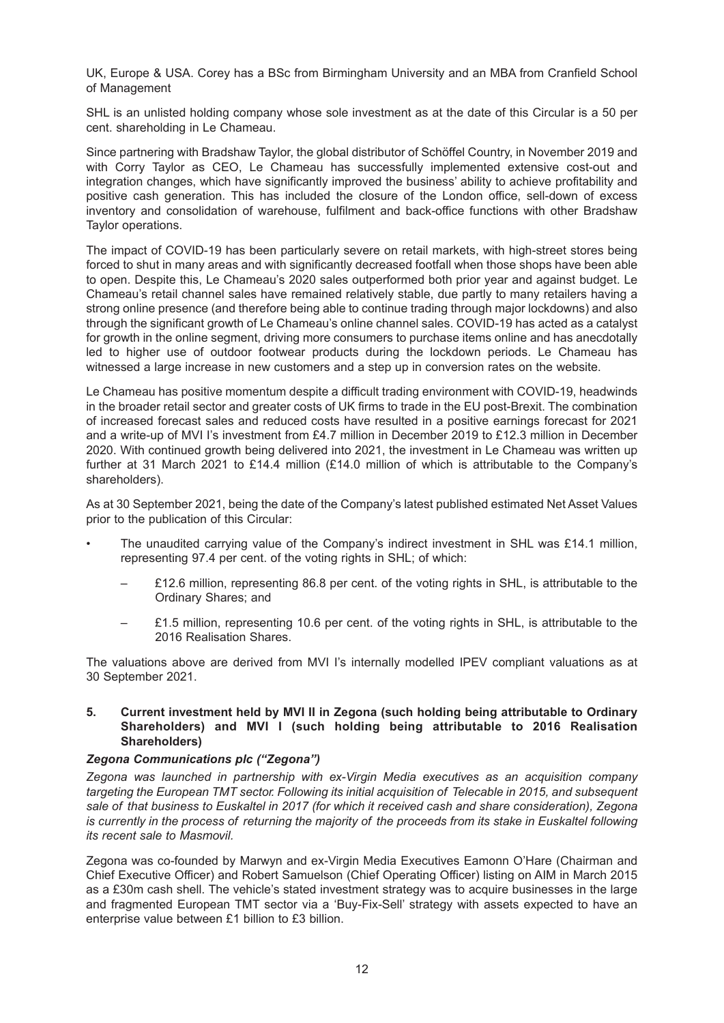UK, Europe & USA. Corey has a BSc from Birmingham University and an MBA from Cranfield School of Management

SHL is an unlisted holding company whose sole investment as at the date of this Circular is a 50 per cent. shareholding in Le Chameau.

Since partnering with Bradshaw Taylor, the global distributor of Schöffel Country, in November 2019 and with Corry Taylor as CEO, Le Chameau has successfully implemented extensive cost-out and integration changes, which have significantly improved the business' ability to achieve profitability and positive cash generation. This has included the closure of the London office, sell-down of excess inventory and consolidation of warehouse, fulfilment and back-office functions with other Bradshaw Taylor operations.

The impact of COVID-19 has been particularly severe on retail markets, with high-street stores being forced to shut in many areas and with significantly decreased footfall when those shops have been able to open. Despite this, Le Chameau's 2020 sales outperformed both prior year and against budget. Le Chameau's retail channel sales have remained relatively stable, due partly to many retailers having a strong online presence (and therefore being able to continue trading through major lockdowns) and also through the significant growth of Le Chameau's online channel sales. COVID-19 has acted as a catalyst for growth in the online segment, driving more consumers to purchase items online and has anecdotally led to higher use of outdoor footwear products during the lockdown periods. Le Chameau has witnessed a large increase in new customers and a step up in conversion rates on the website.

Le Chameau has positive momentum despite a difficult trading environment with COVID-19, headwinds in the broader retail sector and greater costs of UK firms to trade in the EU post-Brexit. The combination of increased forecast sales and reduced costs have resulted in a positive earnings forecast for 2021 and a write-up of MVI I's investment from £4.7 million in December 2019 to £12.3 million in December 2020. With continued growth being delivered into 2021, the investment in Le Chameau was written up further at 31 March 2021 to £14.4 million (£14.0 million of which is attributable to the Company's shareholders).

As at 30 September 2021, being the date of the Company's latest published estimated Net Asset Values prior to the publication of this Circular:

- The unaudited carrying value of the Company's indirect investment in SHL was £14.1 million, representing 97.4 per cent. of the voting rights in SHL; of which:
	- £12.6 million, representing 86.8 per cent. of the voting rights in SHL, is attributable to the Ordinary Shares; and
	- £1.5 million, representing 10.6 per cent. of the voting rights in SHL, is attributable to the 2016 Realisation Shares.

The valuations above are derived from MVI I's internally modelled IPEV compliant valuations as at 30 September 2021.

#### **5. Current investment held by MVI II in Zegona (such holding being attributable to Ordinary Shareholders) and MVI I (such holding being attributable to 2016 Realisation Shareholders)**

### *Zegona Communications plc ("Zegona")*

*Zegona was launched in partnership with ex-Virgin Media executives as an acquisition company targeting the European TMT sector. Following its initial acquisition of Telecable in 2015, and subsequent sale of that business to Euskaltel in 2017 (for which it received cash and share consideration), Zegona* is currently in the process of returning the majority of the proceeds from its stake in Euskaltel following *its recent sale to Masmovil.*

Zegona was co-founded by Marwyn and ex-Virgin Media Executives Eamonn O'Hare (Chairman and Chief Executive Officer) and Robert Samuelson (Chief Operating Officer) listing on AIM in March 2015 as a £30m cash shell. The vehicle's stated investment strategy was to acquire businesses in the large and fragmented European TMT sector via a 'Buy-Fix-Sell' strategy with assets expected to have an enterprise value between £1 billion to £3 billion.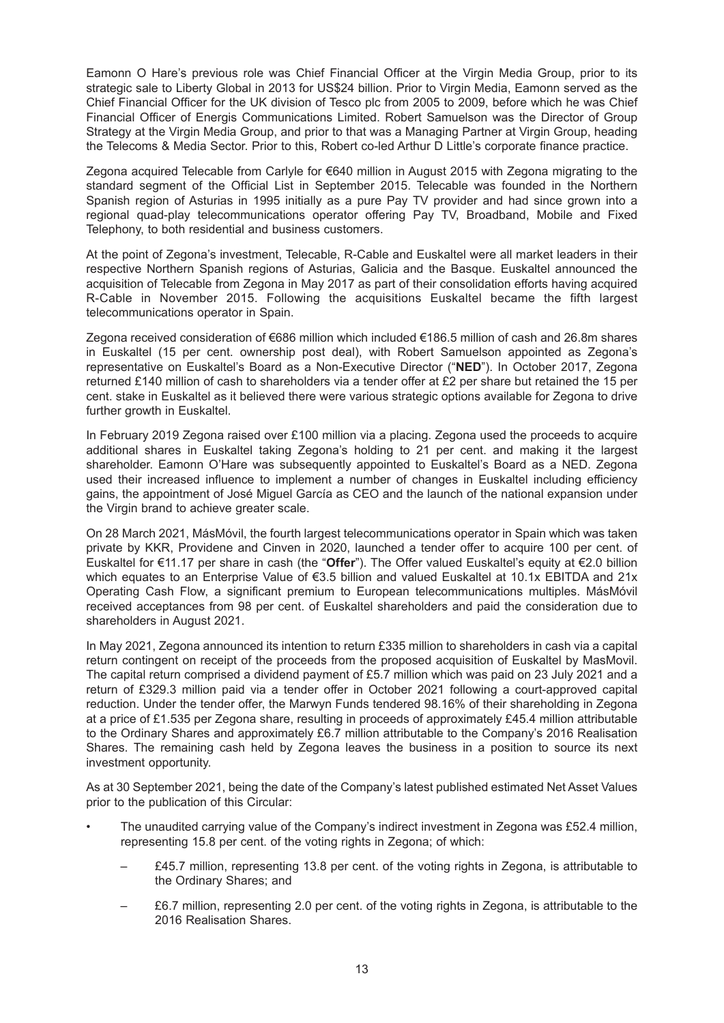Eamonn O Hare's previous role was Chief Financial Officer at the Virgin Media Group, prior to its strategic sale to Liberty Global in 2013 for US\$24 billion. Prior to Virgin Media, Eamonn served as the Chief Financial Officer for the UK division of Tesco plc from 2005 to 2009, before which he was Chief Financial Officer of Energis Communications Limited. Robert Samuelson was the Director of Group Strategy at the Virgin Media Group, and prior to that was a Managing Partner at Virgin Group, heading the Telecoms & Media Sector. Prior to this, Robert co-led Arthur D Little's corporate finance practice.

Zegona acquired Telecable from Carlyle for €640 million in August 2015 with Zegona migrating to the standard segment of the Official List in September 2015. Telecable was founded in the Northern Spanish region of Asturias in 1995 initially as a pure Pay TV provider and had since grown into a regional quad-play telecommunications operator offering Pay TV, Broadband, Mobile and Fixed Telephony, to both residential and business customers.

At the point of Zegona's investment, Telecable, R-Cable and Euskaltel were all market leaders in their respective Northern Spanish regions of Asturias, Galicia and the Basque. Euskaltel announced the acquisition of Telecable from Zegona in May 2017 as part of their consolidation efforts having acquired R-Cable in November 2015. Following the acquisitions Euskaltel became the fifth largest telecommunications operator in Spain.

Zegona received consideration of €686 million which included €186.5 million of cash and 26.8m shares in Euskaltel (15 per cent. ownership post deal), with Robert Samuelson appointed as Zegona's representative on Euskaltel's Board as a Non-Executive Director ("**NED**"). In October 2017, Zegona returned £140 million of cash to shareholders via a tender offer at £2 per share but retained the 15 per cent. stake in Euskaltel as it believed there were various strategic options available for Zegona to drive further growth in Euskaltel.

In February 2019 Zegona raised over £100 million via a placing. Zegona used the proceeds to acquire additional shares in Euskaltel taking Zegona's holding to 21 per cent. and making it the largest shareholder. Eamonn O'Hare was subsequently appointed to Euskaltel's Board as a NED. Zegona used their increased influence to implement a number of changes in Euskaltel including efficiency gains, the appointment of José Miguel García as CEO and the launch of the national expansion under the Virgin brand to achieve greater scale.

On 28 March 2021, MásMóvil, the fourth largest telecommunications operator in Spain which was taken private by KKR, Providene and Cinven in 2020, launched a tender offer to acquire 100 per cent. of Euskaltel for €11.17 per share in cash (the "**Offer**"). The Offer valued Euskaltel's equity at €2.0 billion which equates to an Enterprise Value of €3.5 billion and valued Euskaltel at 10.1x EBITDA and 21x Operating Cash Flow, a significant premium to European telecommunications multiples. MásMóvil received acceptances from 98 per cent. of Euskaltel shareholders and paid the consideration due to shareholders in August 2021.

In May 2021, Zegona announced its intention to return £335 million to shareholders in cash via a capital return contingent on receipt of the proceeds from the proposed acquisition of Euskaltel by MasMovil. The capital return comprised a dividend payment of £5.7 million which was paid on 23 July 2021 and a return of £329.3 million paid via a tender offer in October 2021 following a court-approved capital reduction. Under the tender offer, the Marwyn Funds tendered 98.16% of their shareholding in Zegona at a price of £1.535 per Zegona share, resulting in proceeds of approximately £45.4 million attributable to the Ordinary Shares and approximately £6.7 million attributable to the Company's 2016 Realisation Shares. The remaining cash held by Zegona leaves the business in a position to source its next investment opportunity.

As at 30 September 2021, being the date of the Company's latest published estimated Net Asset Values prior to the publication of this Circular:

- The unaudited carrying value of the Company's indirect investment in Zegona was £52.4 million, representing 15.8 per cent. of the voting rights in Zegona; of which:
	- £45.7 million, representing 13.8 per cent. of the voting rights in Zegona, is attributable to the Ordinary Shares; and
	- £6.7 million, representing 2.0 per cent. of the voting rights in Zegona, is attributable to the 2016 Realisation Shares.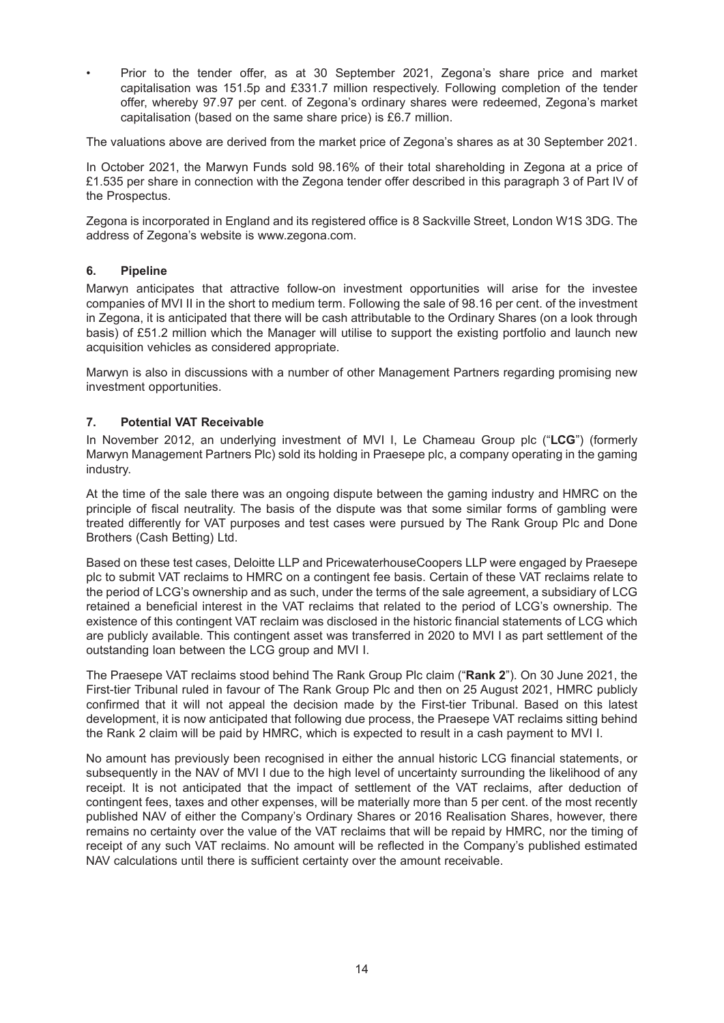• Prior to the tender offer, as at 30 September 2021, Zegona's share price and market capitalisation was 151.5p and £331.7 million respectively. Following completion of the tender offer, whereby 97.97 per cent. of Zegona's ordinary shares were redeemed, Zegona's market capitalisation (based on the same share price) is £6.7 million.

The valuations above are derived from the market price of Zegona's shares as at 30 September 2021.

In October 2021, the Marwyn Funds sold 98.16% of their total shareholding in Zegona at a price of £1.535 per share in connection with the Zegona tender offer described in this paragraph 3 of Part IV of the Prospectus.

Zegona is incorporated in England and its registered office is 8 Sackville Street, London W1S 3DG. The address of Zegona's website is www.zegona.com.

### **6. Pipeline**

Marwyn anticipates that attractive follow-on investment opportunities will arise for the investee companies of MVI II in the short to medium term. Following the sale of 98.16 per cent. of the investment in Zegona, it is anticipated that there will be cash attributable to the Ordinary Shares (on a look through basis) of £51.2 million which the Manager will utilise to support the existing portfolio and launch new acquisition vehicles as considered appropriate.

Marwyn is also in discussions with a number of other Management Partners regarding promising new investment opportunities.

#### **7. Potential VAT Receivable**

In November 2012, an underlying investment of MVI I, Le Chameau Group plc ("**LCG**") (formerly Marwyn Management Partners Plc) sold its holding in Praesepe plc, a company operating in the gaming industry.

At the time of the sale there was an ongoing dispute between the gaming industry and HMRC on the principle of fiscal neutrality. The basis of the dispute was that some similar forms of gambling were treated differently for VAT purposes and test cases were pursued by The Rank Group Plc and Done Brothers (Cash Betting) Ltd.

Based on these test cases, Deloitte LLP and PricewaterhouseCoopers LLP were engaged by Praesepe plc to submit VAT reclaims to HMRC on a contingent fee basis. Certain of these VAT reclaims relate to the period of LCG's ownership and as such, under the terms of the sale agreement, a subsidiary of LCG retained a beneficial interest in the VAT reclaims that related to the period of LCG's ownership. The existence of this contingent VAT reclaim was disclosed in the historic financial statements of LCG which are publicly available. This contingent asset was transferred in 2020 to MVI I as part settlement of the outstanding loan between the LCG group and MVI I.

The Praesepe VAT reclaims stood behind The Rank Group Plc claim ("**Rank 2**"). On 30 June 2021, the First-tier Tribunal ruled in favour of The Rank Group Plc and then on 25 August 2021, HMRC publicly confirmed that it will not appeal the decision made by the First-tier Tribunal. Based on this latest development, it is now anticipated that following due process, the Praesepe VAT reclaims sitting behind the Rank 2 claim will be paid by HMRC, which is expected to result in a cash payment to MVI I.

No amount has previously been recognised in either the annual historic LCG financial statements, or subsequently in the NAV of MVI I due to the high level of uncertainty surrounding the likelihood of any receipt. It is not anticipated that the impact of settlement of the VAT reclaims, after deduction of contingent fees, taxes and other expenses, will be materially more than 5 per cent. of the most recently published NAV of either the Company's Ordinary Shares or 2016 Realisation Shares, however, there remains no certainty over the value of the VAT reclaims that will be repaid by HMRC, nor the timing of receipt of any such VAT reclaims. No amount will be reflected in the Company's published estimated NAV calculations until there is sufficient certainty over the amount receivable.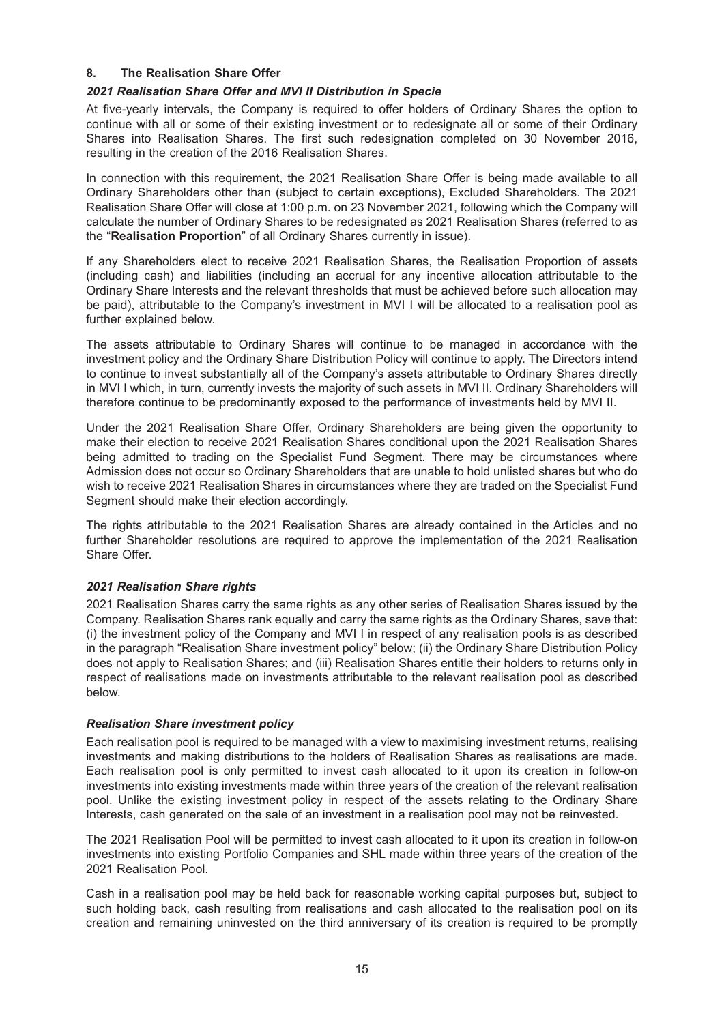#### **8. The Realisation Share Offer**

#### *2021 Realisation Share Offer and MVI II Distribution in Specie*

At five-yearly intervals, the Company is required to offer holders of Ordinary Shares the option to continue with all or some of their existing investment or to redesignate all or some of their Ordinary Shares into Realisation Shares. The first such redesignation completed on 30 November 2016, resulting in the creation of the 2016 Realisation Shares.

In connection with this requirement, the 2021 Realisation Share Offer is being made available to all Ordinary Shareholders other than (subject to certain exceptions), Excluded Shareholders. The 2021 Realisation Share Offer will close at 1:00 p.m. on 23 November 2021, following which the Company will calculate the number of Ordinary Shares to be redesignated as 2021 Realisation Shares (referred to as the "**Realisation Proportion**" of all Ordinary Shares currently in issue).

If any Shareholders elect to receive 2021 Realisation Shares, the Realisation Proportion of assets (including cash) and liabilities (including an accrual for any incentive allocation attributable to the Ordinary Share Interests and the relevant thresholds that must be achieved before such allocation may be paid), attributable to the Company's investment in MVI I will be allocated to a realisation pool as further explained below.

The assets attributable to Ordinary Shares will continue to be managed in accordance with the investment policy and the Ordinary Share Distribution Policy will continue to apply. The Directors intend to continue to invest substantially all of the Company's assets attributable to Ordinary Shares directly in MVI I which, in turn, currently invests the majority of such assets in MVI II. Ordinary Shareholders will therefore continue to be predominantly exposed to the performance of investments held by MVI II.

Under the 2021 Realisation Share Offer, Ordinary Shareholders are being given the opportunity to make their election to receive 2021 Realisation Shares conditional upon the 2021 Realisation Shares being admitted to trading on the Specialist Fund Segment. There may be circumstances where Admission does not occur so Ordinary Shareholders that are unable to hold unlisted shares but who do wish to receive 2021 Realisation Shares in circumstances where they are traded on the Specialist Fund Segment should make their election accordingly.

The rights attributable to the 2021 Realisation Shares are already contained in the Articles and no further Shareholder resolutions are required to approve the implementation of the 2021 Realisation Share Offer.

### *2021 Realisation Share rights*

2021 Realisation Shares carry the same rights as any other series of Realisation Shares issued by the Company. Realisation Shares rank equally and carry the same rights as the Ordinary Shares, save that: (i) the investment policy of the Company and MVI I in respect of any realisation pools is as described in the paragraph "Realisation Share investment policy" below; (ii) the Ordinary Share Distribution Policy does not apply to Realisation Shares; and (iii) Realisation Shares entitle their holders to returns only in respect of realisations made on investments attributable to the relevant realisation pool as described below.

### *Realisation Share investment policy*

Each realisation pool is required to be managed with a view to maximising investment returns, realising investments and making distributions to the holders of Realisation Shares as realisations are made. Each realisation pool is only permitted to invest cash allocated to it upon its creation in follow-on investments into existing investments made within three years of the creation of the relevant realisation pool. Unlike the existing investment policy in respect of the assets relating to the Ordinary Share Interests, cash generated on the sale of an investment in a realisation pool may not be reinvested.

The 2021 Realisation Pool will be permitted to invest cash allocated to it upon its creation in follow-on investments into existing Portfolio Companies and SHL made within three years of the creation of the 2021 Realisation Pool.

Cash in a realisation pool may be held back for reasonable working capital purposes but, subject to such holding back, cash resulting from realisations and cash allocated to the realisation pool on its creation and remaining uninvested on the third anniversary of its creation is required to be promptly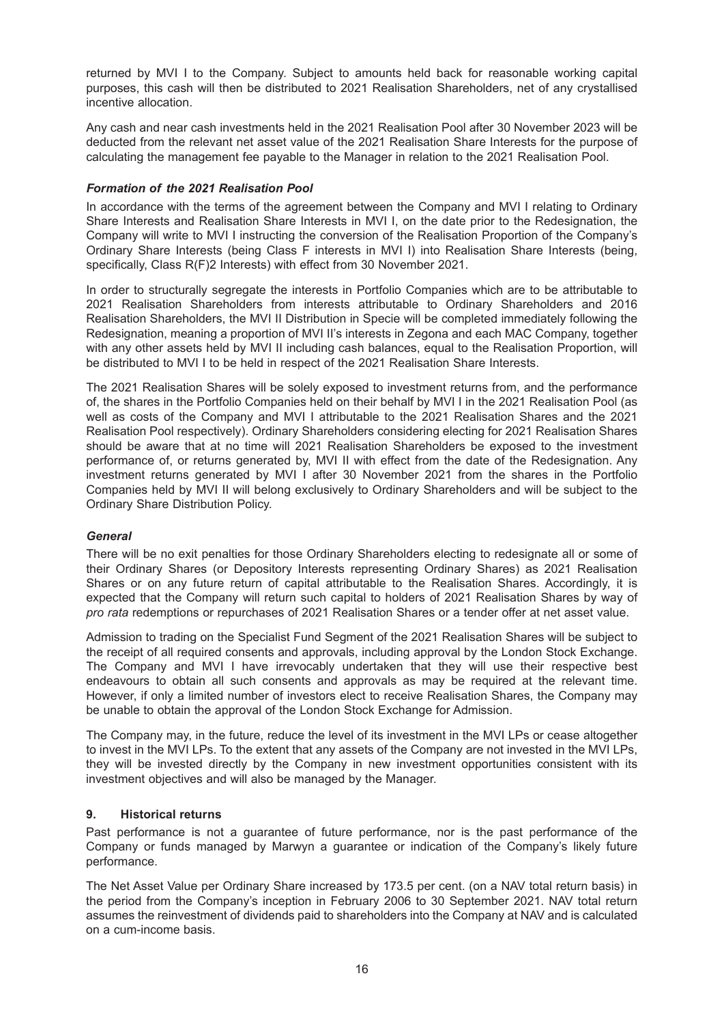returned by MVI I to the Company. Subject to amounts held back for reasonable working capital purposes, this cash will then be distributed to 2021 Realisation Shareholders, net of any crystallised incentive allocation.

Any cash and near cash investments held in the 2021 Realisation Pool after 30 November 2023 will be deducted from the relevant net asset value of the 2021 Realisation Share Interests for the purpose of calculating the management fee payable to the Manager in relation to the 2021 Realisation Pool.

### *Formation of the 2021 Realisation Pool*

In accordance with the terms of the agreement between the Company and MVI I relating to Ordinary Share Interests and Realisation Share Interests in MVI I, on the date prior to the Redesignation, the Company will write to MVI I instructing the conversion of the Realisation Proportion of the Company's Ordinary Share Interests (being Class F interests in MVI I) into Realisation Share Interests (being, specifically, Class R(F)2 Interests) with effect from 30 November 2021.

In order to structurally segregate the interests in Portfolio Companies which are to be attributable to 2021 Realisation Shareholders from interests attributable to Ordinary Shareholders and 2016 Realisation Shareholders, the MVI II Distribution in Specie will be completed immediately following the Redesignation, meaning a proportion of MVI II's interests in Zegona and each MAC Company, together with any other assets held by MVI II including cash balances, equal to the Realisation Proportion, will be distributed to MVI I to be held in respect of the 2021 Realisation Share Interests.

The 2021 Realisation Shares will be solely exposed to investment returns from, and the performance of, the shares in the Portfolio Companies held on their behalf by MVI I in the 2021 Realisation Pool (as well as costs of the Company and MVI I attributable to the 2021 Realisation Shares and the 2021 Realisation Pool respectively). Ordinary Shareholders considering electing for 2021 Realisation Shares should be aware that at no time will 2021 Realisation Shareholders be exposed to the investment performance of, or returns generated by, MVI II with effect from the date of the Redesignation. Any investment returns generated by MVI I after 30 November 2021 from the shares in the Portfolio Companies held by MVI II will belong exclusively to Ordinary Shareholders and will be subject to the Ordinary Share Distribution Policy.

### *General*

There will be no exit penalties for those Ordinary Shareholders electing to redesignate all or some of their Ordinary Shares (or Depository Interests representing Ordinary Shares) as 2021 Realisation Shares or on any future return of capital attributable to the Realisation Shares. Accordingly, it is expected that the Company will return such capital to holders of 2021 Realisation Shares by way of *pro rata* redemptions or repurchases of 2021 Realisation Shares or a tender offer at net asset value.

Admission to trading on the Specialist Fund Segment of the 2021 Realisation Shares will be subject to the receipt of all required consents and approvals, including approval by the London Stock Exchange. The Company and MVI I have irrevocably undertaken that they will use their respective best endeavours to obtain all such consents and approvals as may be required at the relevant time. However, if only a limited number of investors elect to receive Realisation Shares, the Company may be unable to obtain the approval of the London Stock Exchange for Admission.

The Company may, in the future, reduce the level of its investment in the MVI LPs or cease altogether to invest in the MVI LPs. To the extent that any assets of the Company are not invested in the MVI LPs, they will be invested directly by the Company in new investment opportunities consistent with its investment objectives and will also be managed by the Manager.

### **9. Historical returns**

Past performance is not a guarantee of future performance, nor is the past performance of the Company or funds managed by Marwyn a guarantee or indication of the Company's likely future performance.

The Net Asset Value per Ordinary Share increased by 173.5 per cent. (on a NAV total return basis) in the period from the Company's inception in February 2006 to 30 September 2021. NAV total return assumes the reinvestment of dividends paid to shareholders into the Company at NAV and is calculated on a cum-income basis.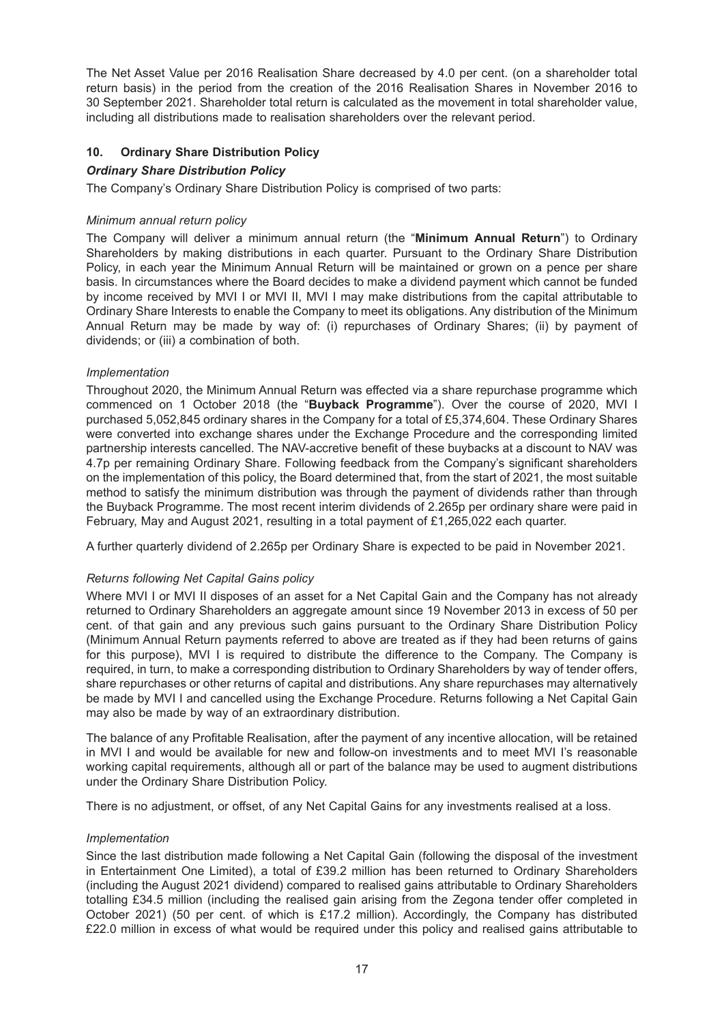The Net Asset Value per 2016 Realisation Share decreased by 4.0 per cent. (on a shareholder total return basis) in the period from the creation of the 2016 Realisation Shares in November 2016 to 30 September 2021. Shareholder total return is calculated as the movement in total shareholder value, including all distributions made to realisation shareholders over the relevant period.

### **10. Ordinary Share Distribution Policy**

### *Ordinary Share Distribution Policy*

The Company's Ordinary Share Distribution Policy is comprised of two parts:

### *Minimum annual return policy*

The Company will deliver a minimum annual return (the "**Minimum Annual Return**") to Ordinary Shareholders by making distributions in each quarter. Pursuant to the Ordinary Share Distribution Policy, in each year the Minimum Annual Return will be maintained or grown on a pence per share basis. In circumstances where the Board decides to make a dividend payment which cannot be funded by income received by MVI I or MVI II, MVI I may make distributions from the capital attributable to Ordinary Share Interests to enable the Company to meet its obligations. Any distribution of the Minimum Annual Return may be made by way of: (i) repurchases of Ordinary Shares; (ii) by payment of dividends; or (iii) a combination of both.

### *Implementation*

Throughout 2020, the Minimum Annual Return was effected via a share repurchase programme which commenced on 1 October 2018 (the "**Buyback Programme**"). Over the course of 2020, MVI I purchased 5,052,845 ordinary shares in the Company for a total of £5,374,604. These Ordinary Shares were converted into exchange shares under the Exchange Procedure and the corresponding limited partnership interests cancelled. The NAV-accretive benefit of these buybacks at a discount to NAV was 4.7p per remaining Ordinary Share. Following feedback from the Company's significant shareholders on the implementation of this policy, the Board determined that, from the start of 2021, the most suitable method to satisfy the minimum distribution was through the payment of dividends rather than through the Buyback Programme. The most recent interim dividends of 2.265p per ordinary share were paid in February, May and August 2021, resulting in a total payment of £1,265,022 each quarter.

A further quarterly dividend of 2.265p per Ordinary Share is expected to be paid in November 2021.

### *Returns following Net Capital Gains policy*

Where MVI I or MVI II disposes of an asset for a Net Capital Gain and the Company has not already returned to Ordinary Shareholders an aggregate amount since 19 November 2013 in excess of 50 per cent. of that gain and any previous such gains pursuant to the Ordinary Share Distribution Policy (Minimum Annual Return payments referred to above are treated as if they had been returns of gains for this purpose), MVI I is required to distribute the difference to the Company. The Company is required, in turn, to make a corresponding distribution to Ordinary Shareholders by way of tender offers, share repurchases or other returns of capital and distributions. Any share repurchases may alternatively be made by MVI I and cancelled using the Exchange Procedure. Returns following a Net Capital Gain may also be made by way of an extraordinary distribution.

The balance of any Profitable Realisation, after the payment of any incentive allocation, will be retained in MVI I and would be available for new and follow-on investments and to meet MVI I's reasonable working capital requirements, although all or part of the balance may be used to augment distributions under the Ordinary Share Distribution Policy.

There is no adjustment, or offset, of any Net Capital Gains for any investments realised at a loss.

### *Implementation*

Since the last distribution made following a Net Capital Gain (following the disposal of the investment in Entertainment One Limited), a total of £39.2 million has been returned to Ordinary Shareholders (including the August 2021 dividend) compared to realised gains attributable to Ordinary Shareholders totalling £34.5 million (including the realised gain arising from the Zegona tender offer completed in October 2021) (50 per cent. of which is £17.2 million). Accordingly, the Company has distributed £22.0 million in excess of what would be required under this policy and realised gains attributable to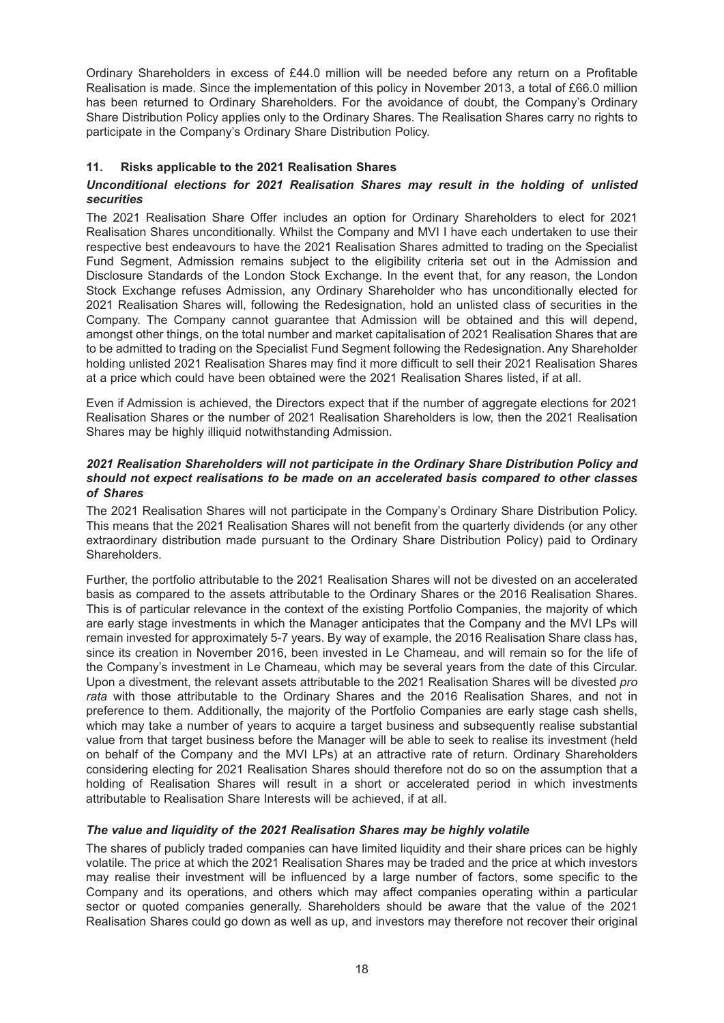Ordinary Shareholders in excess of £44.0 million will be needed before any return on a Profitable Realisation is made. Since the implementation of this policy in November 2013, a total of £66.0 million has been returned to Ordinary Shareholders. For the avoidance of doubt, the Company's Ordinary Share Distribution Policy applies only to the Ordinary Shares. The Realisation Shares carry no rights to participate in the Company's Ordinary Share Distribution Policy.

### **11. Risks applicable to the 2021 Realisation Shares**

### *Unconditional elections for 2021 Realisation Shares may result in the holding of unlisted securities*

The 2021 Realisation Share Offer includes an option for Ordinary Shareholders to elect for 2021 Realisation Shares unconditionally. Whilst the Company and MVI I have each undertaken to use their respective best endeavours to have the 2021 Realisation Shares admitted to trading on the Specialist Fund Segment, Admission remains subject to the eligibility criteria set out in the Admission and Disclosure Standards of the London Stock Exchange. In the event that, for any reason, the London Stock Exchange refuses Admission, any Ordinary Shareholder who has unconditionally elected for 2021 Realisation Shares will, following the Redesignation, hold an unlisted class of securities in the Company. The Company cannot guarantee that Admission will be obtained and this will depend, amongst other things, on the total number and market capitalisation of 2021 Realisation Shares that are to be admitted to trading on the Specialist Fund Segment following the Redesignation. Any Shareholder holding unlisted 2021 Realisation Shares may find it more difficult to sell their 2021 Realisation Shares at a price which could have been obtained were the 2021 Realisation Shares listed, if at all.

Even if Admission is achieved, the Directors expect that if the number of aggregate elections for 2021 Realisation Shares or the number of 2021 Realisation Shareholders is low, then the 2021 Realisation Shares may be highly illiquid notwithstanding Admission.

#### *2021 Realisation Shareholders will not participate in the Ordinary Share Distribution Policy and should not expect realisations to be made on an accelerated basis compared to other classes of Shares*

The 2021 Realisation Shares will not participate in the Company's Ordinary Share Distribution Policy. This means that the 2021 Realisation Shares will not benefit from the quarterly dividends (or any other extraordinary distribution made pursuant to the Ordinary Share Distribution Policy) paid to Ordinary Shareholders.

Further, the portfolio attributable to the 2021 Realisation Shares will not be divested on an accelerated basis as compared to the assets attributable to the Ordinary Shares or the 2016 Realisation Shares. This is of particular relevance in the context of the existing Portfolio Companies, the majority of which are early stage investments in which the Manager anticipates that the Company and the MVI LPs will remain invested for approximately 5-7 years. By way of example, the 2016 Realisation Share class has, since its creation in November 2016, been invested in Le Chameau, and will remain so for the life of the Company's investment in Le Chameau, which may be several years from the date of this Circular. Upon a divestment, the relevant assets attributable to the 2021 Realisation Shares will be divested *pro rata* with those attributable to the Ordinary Shares and the 2016 Realisation Shares, and not in preference to them. Additionally, the majority of the Portfolio Companies are early stage cash shells, which may take a number of years to acquire a target business and subsequently realise substantial value from that target business before the Manager will be able to seek to realise its investment (held on behalf of the Company and the MVI LPs) at an attractive rate of return. Ordinary Shareholders considering electing for 2021 Realisation Shares should therefore not do so on the assumption that a holding of Realisation Shares will result in a short or accelerated period in which investments attributable to Realisation Share Interests will be achieved, if at all.

### *The value and liquidity of the 2021 Realisation Shares may be highly volatile*

The shares of publicly traded companies can have limited liquidity and their share prices can be highly volatile. The price at which the 2021 Realisation Shares may be traded and the price at which investors may realise their investment will be influenced by a large number of factors, some specific to the Company and its operations, and others which may affect companies operating within a particular sector or quoted companies generally. Shareholders should be aware that the value of the 2021 Realisation Shares could go down as well as up, and investors may therefore not recover their original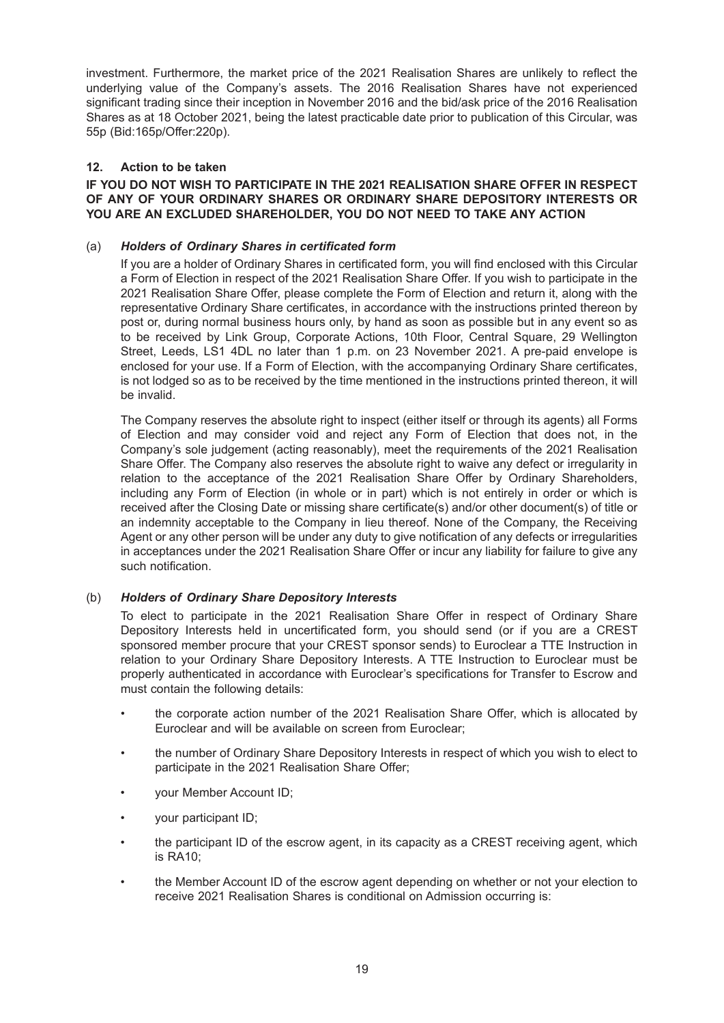investment. Furthermore, the market price of the 2021 Realisation Shares are unlikely to reflect the underlying value of the Company's assets. The 2016 Realisation Shares have not experienced significant trading since their inception in November 2016 and the bid/ask price of the 2016 Realisation Shares as at 18 October 2021, being the latest practicable date prior to publication of this Circular, was 55p (Bid:165p/Offer:220p).

### **12. Action to be taken**

### **IF YOU DO NOT WISH TO PARTICIPATE IN THE 2021 REALISATION SHARE OFFER IN RESPECT OF ANY OF YOUR ORDINARY SHARES OR ORDINARY SHARE DEPOSITORY INTERESTS OR YOU ARE AN EXCLUDED SHAREHOLDER, YOU DO NOT NEED TO TAKE ANY ACTION**

### (a) *Holders of Ordinary Shares in certificated form*

If you are a holder of Ordinary Shares in certificated form, you will find enclosed with this Circular a Form of Election in respect of the 2021 Realisation Share Offer. If you wish to participate in the 2021 Realisation Share Offer, please complete the Form of Election and return it, along with the representative Ordinary Share certificates, in accordance with the instructions printed thereon by post or, during normal business hours only, by hand as soon as possible but in any event so as to be received by Link Group, Corporate Actions, 10th Floor, Central Square, 29 Wellington Street, Leeds, LS1 4DL no later than 1 p.m. on 23 November 2021. A pre-paid envelope is enclosed for your use. If a Form of Election, with the accompanying Ordinary Share certificates, is not lodged so as to be received by the time mentioned in the instructions printed thereon, it will be invalid.

The Company reserves the absolute right to inspect (either itself or through its agents) all Forms of Election and may consider void and reject any Form of Election that does not, in the Company's sole judgement (acting reasonably), meet the requirements of the 2021 Realisation Share Offer. The Company also reserves the absolute right to waive any defect or irregularity in relation to the acceptance of the 2021 Realisation Share Offer by Ordinary Shareholders, including any Form of Election (in whole or in part) which is not entirely in order or which is received after the Closing Date or missing share certificate(s) and/or other document(s) of title or an indemnity acceptable to the Company in lieu thereof. None of the Company, the Receiving Agent or any other person will be under any duty to give notification of any defects or irregularities in acceptances under the 2021 Realisation Share Offer or incur any liability for failure to give any such notification.

### (b) *Holders of Ordinary Share Depository Interests*

To elect to participate in the 2021 Realisation Share Offer in respect of Ordinary Share Depository Interests held in uncertificated form, you should send (or if you are a CREST sponsored member procure that your CREST sponsor sends) to Euroclear a TTE Instruction in relation to your Ordinary Share Depository Interests. A TTE Instruction to Euroclear must be properly authenticated in accordance with Euroclear's specifications for Transfer to Escrow and must contain the following details:

- the corporate action number of the 2021 Realisation Share Offer, which is allocated by Euroclear and will be available on screen from Euroclear;
- the number of Ordinary Share Depository Interests in respect of which you wish to elect to participate in the 2021 Realisation Share Offer;
- your Member Account ID;
- your participant ID;
- the participant ID of the escrow agent, in its capacity as a CREST receiving agent, which is RA10;
- the Member Account ID of the escrow agent depending on whether or not your election to receive 2021 Realisation Shares is conditional on Admission occurring is: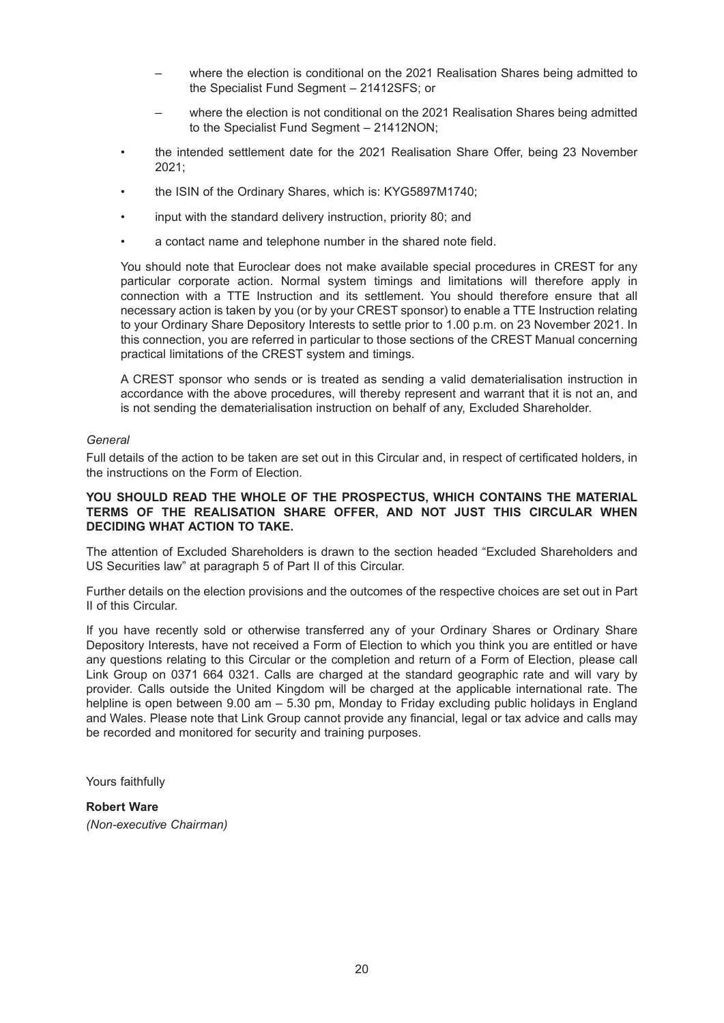- where the election is conditional on the 2021 Realisation Shares being admitted to the Specialist Fund Segment – 21412SFS; or
- where the election is not conditional on the 2021 Realisation Shares being admitted to the Specialist Fund Segment – 21412NON;
- the intended settlement date for the 2021 Realisation Share Offer, being 23 November 2021;
- the ISIN of the Ordinary Shares, which is: KYG5897M1740;
- input with the standard delivery instruction, priority 80; and
- a contact name and telephone number in the shared note field.

You should note that Euroclear does not make available special procedures in CREST for any particular corporate action. Normal system timings and limitations will therefore apply in connection with a TTE Instruction and its settlement. You should therefore ensure that all necessary action is taken by you (or by your CREST sponsor) to enable a TTE Instruction relating to your Ordinary Share Depository Interests to settle prior to 1.00 p.m. on 23 November 2021. In this connection, you are referred in particular to those sections of the CREST Manual concerning practical limitations of the CREST system and timings.

A CREST sponsor who sends or is treated as sending a valid dematerialisation instruction in accordance with the above procedures, will thereby represent and warrant that it is not an, and is not sending the dematerialisation instruction on behalf of any, Excluded Shareholder.

#### *General*

Full details of the action to be taken are set out in this Circular and, in respect of certificated holders, in the instructions on the Form of Election.

#### **YOU SHOULD READ THE WHOLE OF THE PROSPECTUS, WHICH CONTAINS THE MATERIAL TERMS OF THE REALISATION SHARE OFFER, AND NOT JUST THIS CIRCULAR WHEN DECIDING WHAT ACTION TO TAKE.**

The attention of Excluded Shareholders is drawn to the section headed "Excluded Shareholders and US Securities law" at paragraph 5 of Part II of this Circular.

Further details on the election provisions and the outcomes of the respective choices are set out in Part II of this Circular.

If you have recently sold or otherwise transferred any of your Ordinary Shares or Ordinary Share Depository Interests, have not received a Form of Election to which you think you are entitled or have any questions relating to this Circular or the completion and return of a Form of Election, please call Link Group on 0371 664 0321. Calls are charged at the standard geographic rate and will vary by provider. Calls outside the United Kingdom will be charged at the applicable international rate. The helpline is open between 9.00 am – 5.30 pm, Monday to Friday excluding public holidays in England and Wales. Please note that Link Group cannot provide any financial, legal or tax advice and calls may be recorded and monitored for security and training purposes.

Yours faithfully

## **Robert Ware**

*(Non-executive Chairman)*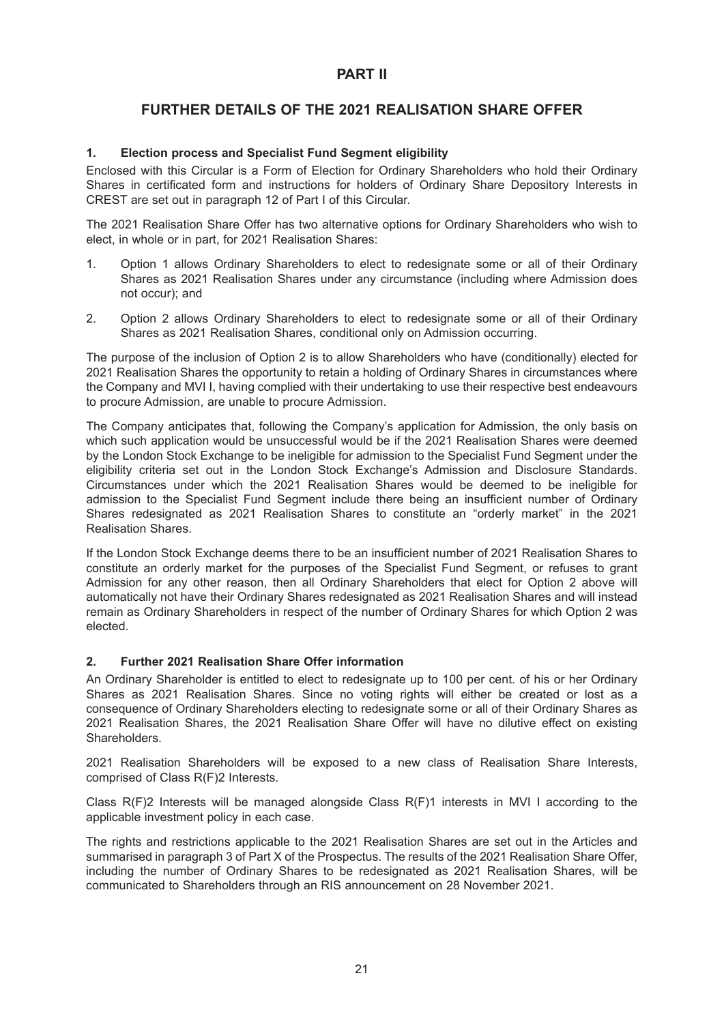## **PART II**

## **FURTHER DETAILS OF THE 2021 REALISATION SHARE OFFER**

### **1. Election process and Specialist Fund Segment eligibility**

Enclosed with this Circular is a Form of Election for Ordinary Shareholders who hold their Ordinary Shares in certificated form and instructions for holders of Ordinary Share Depository Interests in CREST are set out in paragraph 12 of Part I of this Circular.

The 2021 Realisation Share Offer has two alternative options for Ordinary Shareholders who wish to elect, in whole or in part, for 2021 Realisation Shares:

- 1. Option 1 allows Ordinary Shareholders to elect to redesignate some or all of their Ordinary Shares as 2021 Realisation Shares under any circumstance (including where Admission does not occur); and
- 2. Option 2 allows Ordinary Shareholders to elect to redesignate some or all of their Ordinary Shares as 2021 Realisation Shares, conditional only on Admission occurring.

The purpose of the inclusion of Option 2 is to allow Shareholders who have (conditionally) elected for 2021 Realisation Shares the opportunity to retain a holding of Ordinary Shares in circumstances where the Company and MVI I, having complied with their undertaking to use their respective best endeavours to procure Admission, are unable to procure Admission.

The Company anticipates that, following the Company's application for Admission, the only basis on which such application would be unsuccessful would be if the 2021 Realisation Shares were deemed by the London Stock Exchange to be ineligible for admission to the Specialist Fund Segment under the eligibility criteria set out in the London Stock Exchange's Admission and Disclosure Standards. Circumstances under which the 2021 Realisation Shares would be deemed to be ineligible for admission to the Specialist Fund Segment include there being an insufficient number of Ordinary Shares redesignated as 2021 Realisation Shares to constitute an "orderly market" in the 2021 Realisation Shares.

If the London Stock Exchange deems there to be an insufficient number of 2021 Realisation Shares to constitute an orderly market for the purposes of the Specialist Fund Segment, or refuses to grant Admission for any other reason, then all Ordinary Shareholders that elect for Option 2 above will automatically not have their Ordinary Shares redesignated as 2021 Realisation Shares and will instead remain as Ordinary Shareholders in respect of the number of Ordinary Shares for which Option 2 was elected.

### **2. Further 2021 Realisation Share Offer information**

An Ordinary Shareholder is entitled to elect to redesignate up to 100 per cent. of his or her Ordinary Shares as 2021 Realisation Shares. Since no voting rights will either be created or lost as a consequence of Ordinary Shareholders electing to redesignate some or all of their Ordinary Shares as 2021 Realisation Shares, the 2021 Realisation Share Offer will have no dilutive effect on existing **Shareholders** 

2021 Realisation Shareholders will be exposed to a new class of Realisation Share Interests, comprised of Class R(F)2 Interests.

Class  $R(F)2$  Interests will be managed alongside Class  $R(F)1$  interests in MVI I according to the applicable investment policy in each case.

The rights and restrictions applicable to the 2021 Realisation Shares are set out in the Articles and summarised in paragraph 3 of Part X of the Prospectus. The results of the 2021 Realisation Share Offer, including the number of Ordinary Shares to be redesignated as 2021 Realisation Shares, will be communicated to Shareholders through an RIS announcement on 28 November 2021.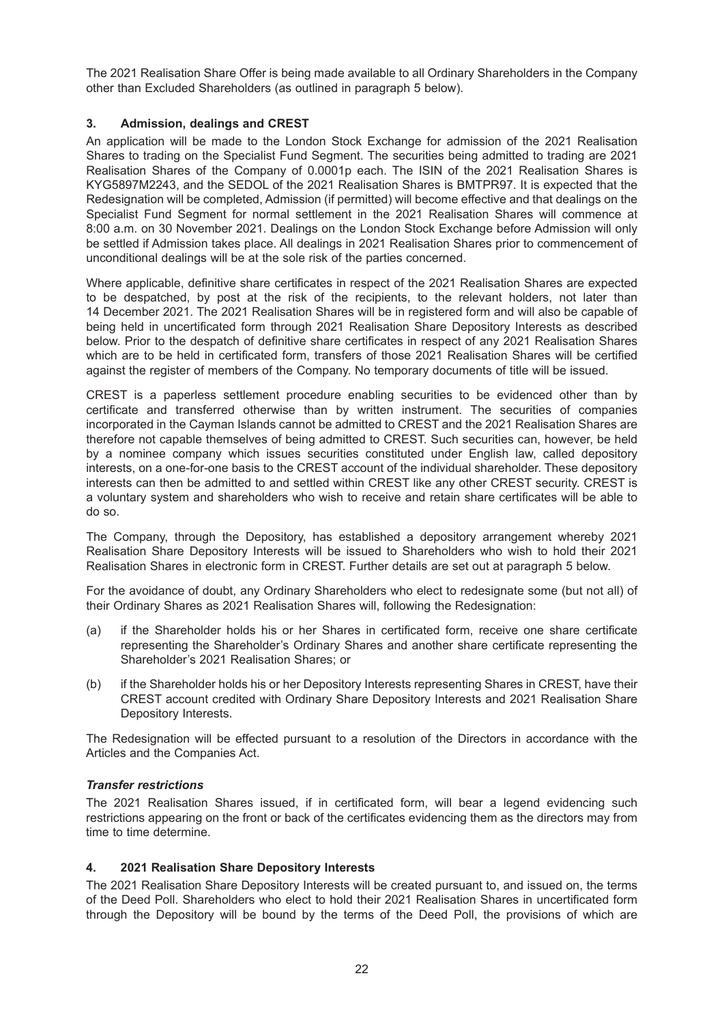The 2021 Realisation Share Offer is being made available to all Ordinary Shareholders in the Company other than Excluded Shareholders (as outlined in paragraph 5 below).

### **3. Admission, dealings and CREST**

An application will be made to the London Stock Exchange for admission of the 2021 Realisation Shares to trading on the Specialist Fund Segment. The securities being admitted to trading are 2021 Realisation Shares of the Company of 0.0001p each. The ISIN of the 2021 Realisation Shares is KYG5897M2243, and the SEDOL of the 2021 Realisation Shares is BMTPR97. It is expected that the Redesignation will be completed, Admission (if permitted) will become effective and that dealings on the Specialist Fund Segment for normal settlement in the 2021 Realisation Shares will commence at 8:00 a.m. on 30 November 2021. Dealings on the London Stock Exchange before Admission will only be settled if Admission takes place. All dealings in 2021 Realisation Shares prior to commencement of unconditional dealings will be at the sole risk of the parties concerned.

Where applicable, definitive share certificates in respect of the 2021 Realisation Shares are expected to be despatched, by post at the risk of the recipients, to the relevant holders, not later than 14 December 2021. The 2021 Realisation Shares will be in registered form and will also be capable of being held in uncertificated form through 2021 Realisation Share Depository Interests as described below. Prior to the despatch of definitive share certificates in respect of any 2021 Realisation Shares which are to be held in certificated form, transfers of those 2021 Realisation Shares will be certified against the register of members of the Company. No temporary documents of title will be issued.

CREST is a paperless settlement procedure enabling securities to be evidenced other than by certificate and transferred otherwise than by written instrument. The securities of companies incorporated in the Cayman Islands cannot be admitted to CREST and the 2021 Realisation Shares are therefore not capable themselves of being admitted to CREST. Such securities can, however, be held by a nominee company which issues securities constituted under English law, called depository interests, on a one-for-one basis to the CREST account of the individual shareholder. These depository interests can then be admitted to and settled within CREST like any other CREST security. CREST is a voluntary system and shareholders who wish to receive and retain share certificates will be able to do so.

The Company, through the Depository, has established a depository arrangement whereby 2021 Realisation Share Depository Interests will be issued to Shareholders who wish to hold their 2021 Realisation Shares in electronic form in CREST. Further details are set out at paragraph 5 below.

For the avoidance of doubt, any Ordinary Shareholders who elect to redesignate some (but not all) of their Ordinary Shares as 2021 Realisation Shares will, following the Redesignation:

- (a) if the Shareholder holds his or her Shares in certificated form, receive one share certificate representing the Shareholder's Ordinary Shares and another share certificate representing the Shareholder's 2021 Realisation Shares; or
- (b) if the Shareholder holds his or her Depository Interests representing Shares in CREST, have their CREST account credited with Ordinary Share Depository Interests and 2021 Realisation Share Depository Interests.

The Redesignation will be effected pursuant to a resolution of the Directors in accordance with the Articles and the Companies Act.

### *Transfer restrictions*

The 2021 Realisation Shares issued, if in certificated form, will bear a legend evidencing such restrictions appearing on the front or back of the certificates evidencing them as the directors may from time to time determine.

### **4. 2021 Realisation Share Depository Interests**

The 2021 Realisation Share Depository Interests will be created pursuant to, and issued on, the terms of the Deed Poll. Shareholders who elect to hold their 2021 Realisation Shares in uncertificated form through the Depository will be bound by the terms of the Deed Poll, the provisions of which are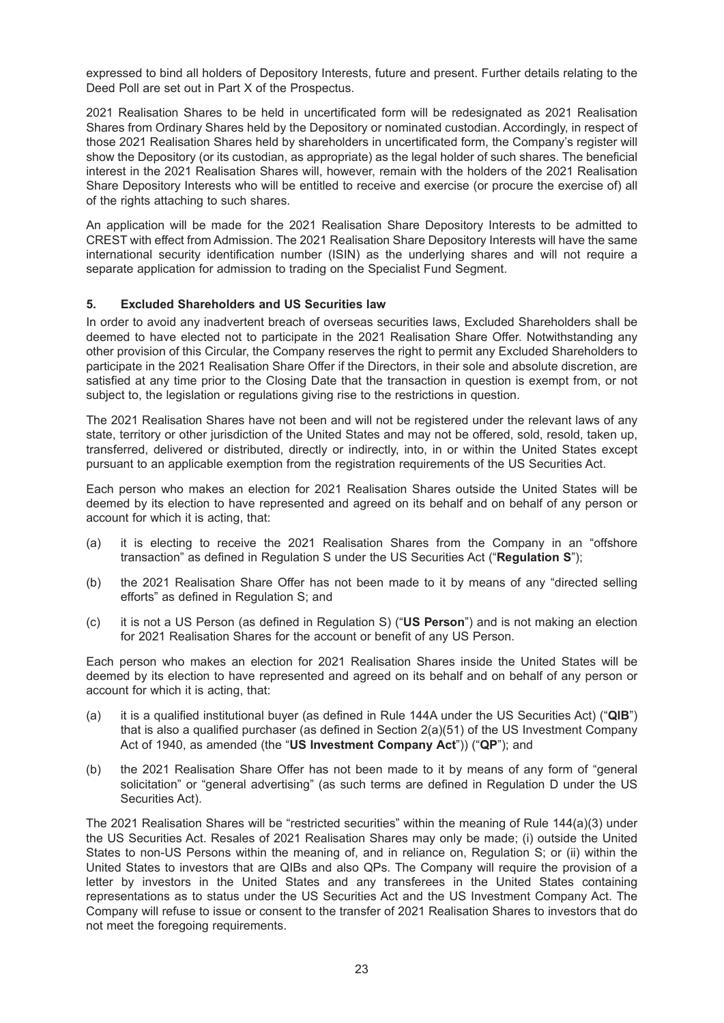expressed to bind all holders of Depository Interests, future and present. Further details relating to the Deed Poll are set out in Part X of the Prospectus.

2021 Realisation Shares to be held in uncertificated form will be redesignated as 2021 Realisation Shares from Ordinary Shares held by the Depository or nominated custodian. Accordingly, in respect of those 2021 Realisation Shares held by shareholders in uncertificated form, the Company's register will show the Depository (or its custodian, as appropriate) as the legal holder of such shares. The beneficial interest in the 2021 Realisation Shares will, however, remain with the holders of the 2021 Realisation Share Depository Interests who will be entitled to receive and exercise (or procure the exercise of) all of the rights attaching to such shares.

An application will be made for the 2021 Realisation Share Depository Interests to be admitted to CREST with effect from Admission. The 2021 Realisation Share Depository Interests will have the same international security identification number (ISIN) as the underlying shares and will not require a separate application for admission to trading on the Specialist Fund Segment.

### **5. Excluded Shareholders and US Securities law**

In order to avoid any inadvertent breach of overseas securities laws, Excluded Shareholders shall be deemed to have elected not to participate in the 2021 Realisation Share Offer. Notwithstanding any other provision of this Circular, the Company reserves the right to permit any Excluded Shareholders to participate in the 2021 Realisation Share Offer if the Directors, in their sole and absolute discretion, are satisfied at any time prior to the Closing Date that the transaction in question is exempt from, or not subject to, the legislation or regulations giving rise to the restrictions in question.

The 2021 Realisation Shares have not been and will not be registered under the relevant laws of any state, territory or other jurisdiction of the United States and may not be offered, sold, resold, taken up, transferred, delivered or distributed, directly or indirectly, into, in or within the United States except pursuant to an applicable exemption from the registration requirements of the US Securities Act.

Each person who makes an election for 2021 Realisation Shares outside the United States will be deemed by its election to have represented and agreed on its behalf and on behalf of any person or account for which it is acting, that:

- (a) it is electing to receive the 2021 Realisation Shares from the Company in an "offshore transaction" as defined in Regulation S under the US Securities Act ("**Regulation S**");
- (b) the 2021 Realisation Share Offer has not been made to it by means of any "directed selling efforts" as defined in Regulation S; and
- (c) it is not a US Person (as defined in Regulation S) ("**US Person**") and is not making an election for 2021 Realisation Shares for the account or benefit of any US Person.

Each person who makes an election for 2021 Realisation Shares inside the United States will be deemed by its election to have represented and agreed on its behalf and on behalf of any person or account for which it is acting, that:

- (a) it is a qualified institutional buyer (as defined in Rule 144A under the US Securities Act) ("**QIB**") that is also a qualified purchaser (as defined in Section 2(a)(51) of the US Investment Company Act of 1940, as amended (the "**US Investment Company Act**")) ("**QP**"); and
- (b) the 2021 Realisation Share Offer has not been made to it by means of any form of "general solicitation" or "general advertising" (as such terms are defined in Regulation D under the US Securities Act).

The 2021 Realisation Shares will be "restricted securities" within the meaning of Rule 144(a)(3) under the US Securities Act. Resales of 2021 Realisation Shares may only be made; (i) outside the United States to non-US Persons within the meaning of, and in reliance on, Regulation S; or (ii) within the United States to investors that are QIBs and also QPs. The Company will require the provision of a letter by investors in the United States and any transferees in the United States containing representations as to status under the US Securities Act and the US Investment Company Act. The Company will refuse to issue or consent to the transfer of 2021 Realisation Shares to investors that do not meet the foregoing requirements.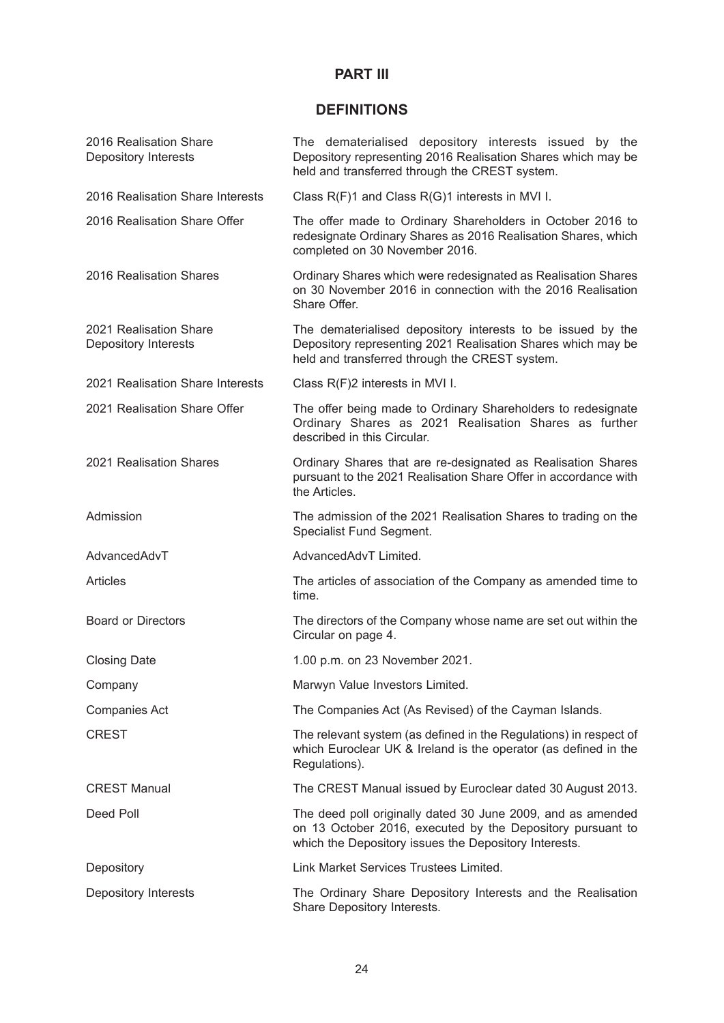# **PART III**

# **DEFINITIONS**

| 2016 Realisation Share<br><b>Depository Interests</b> | The dematerialised depository interests issued by the<br>Depository representing 2016 Realisation Shares which may be<br>held and transferred through the CREST system.            |
|-------------------------------------------------------|------------------------------------------------------------------------------------------------------------------------------------------------------------------------------------|
| 2016 Realisation Share Interests                      | Class R(F)1 and Class R(G)1 interests in MVI I.                                                                                                                                    |
| 2016 Realisation Share Offer                          | The offer made to Ordinary Shareholders in October 2016 to<br>redesignate Ordinary Shares as 2016 Realisation Shares, which<br>completed on 30 November 2016.                      |
| 2016 Realisation Shares                               | Ordinary Shares which were redesignated as Realisation Shares<br>on 30 November 2016 in connection with the 2016 Realisation<br>Share Offer.                                       |
| 2021 Realisation Share<br>Depository Interests        | The dematerialised depository interests to be issued by the<br>Depository representing 2021 Realisation Shares which may be<br>held and transferred through the CREST system.      |
| 2021 Realisation Share Interests                      | Class R(F)2 interests in MVI I.                                                                                                                                                    |
| 2021 Realisation Share Offer                          | The offer being made to Ordinary Shareholders to redesignate<br>Ordinary Shares as 2021 Realisation Shares as further<br>described in this Circular.                               |
| 2021 Realisation Shares                               | Ordinary Shares that are re-designated as Realisation Shares<br>pursuant to the 2021 Realisation Share Offer in accordance with<br>the Articles.                                   |
| Admission                                             | The admission of the 2021 Realisation Shares to trading on the<br>Specialist Fund Segment.                                                                                         |
| AdvancedAdvT                                          | AdvancedAdvT Limited.                                                                                                                                                              |
| <b>Articles</b>                                       | The articles of association of the Company as amended time to<br>time.                                                                                                             |
| <b>Board or Directors</b>                             | The directors of the Company whose name are set out within the<br>Circular on page 4.                                                                                              |
| <b>Closing Date</b>                                   | 1.00 p.m. on 23 November 2021.                                                                                                                                                     |
| Company                                               | Marwyn Value Investors Limited.                                                                                                                                                    |
| <b>Companies Act</b>                                  | The Companies Act (As Revised) of the Cayman Islands.                                                                                                                              |
| <b>CREST</b>                                          | The relevant system (as defined in the Regulations) in respect of<br>which Euroclear UK & Ireland is the operator (as defined in the<br>Regulations).                              |
| <b>CREST Manual</b>                                   | The CREST Manual issued by Euroclear dated 30 August 2013.                                                                                                                         |
| Deed Poll                                             | The deed poll originally dated 30 June 2009, and as amended<br>on 13 October 2016, executed by the Depository pursuant to<br>which the Depository issues the Depository Interests. |
| Depository                                            | Link Market Services Trustees Limited.                                                                                                                                             |
| Depository Interests                                  | The Ordinary Share Depository Interests and the Realisation<br>Share Depository Interests.                                                                                         |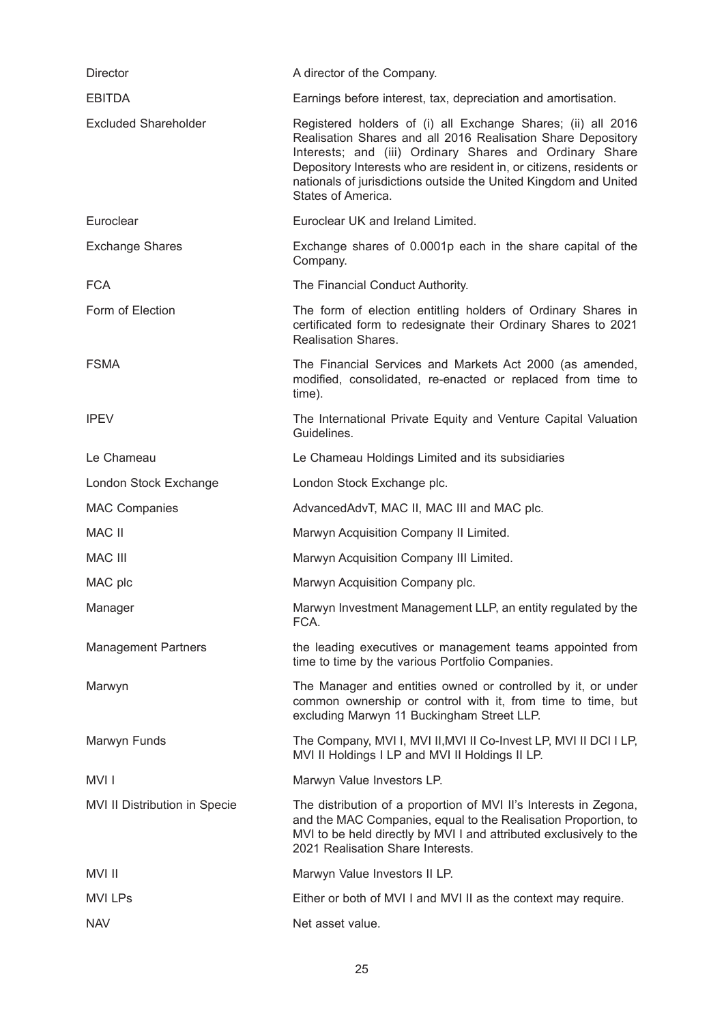| <b>Director</b>               | A director of the Company.                                                                                                                                                                                                                                                                                                                               |
|-------------------------------|----------------------------------------------------------------------------------------------------------------------------------------------------------------------------------------------------------------------------------------------------------------------------------------------------------------------------------------------------------|
| <b>EBITDA</b>                 | Earnings before interest, tax, depreciation and amortisation.                                                                                                                                                                                                                                                                                            |
| <b>Excluded Shareholder</b>   | Registered holders of (i) all Exchange Shares; (ii) all 2016<br>Realisation Shares and all 2016 Realisation Share Depository<br>Interests; and (iii) Ordinary Shares and Ordinary Share<br>Depository Interests who are resident in, or citizens, residents or<br>nationals of jurisdictions outside the United Kingdom and United<br>States of America. |
| Euroclear                     | Euroclear UK and Ireland Limited.                                                                                                                                                                                                                                                                                                                        |
| <b>Exchange Shares</b>        | Exchange shares of 0.0001p each in the share capital of the<br>Company.                                                                                                                                                                                                                                                                                  |
| <b>FCA</b>                    | The Financial Conduct Authority.                                                                                                                                                                                                                                                                                                                         |
| Form of Election              | The form of election entitling holders of Ordinary Shares in<br>certificated form to redesignate their Ordinary Shares to 2021<br><b>Realisation Shares.</b>                                                                                                                                                                                             |
| <b>FSMA</b>                   | The Financial Services and Markets Act 2000 (as amended,<br>modified, consolidated, re-enacted or replaced from time to<br>time).                                                                                                                                                                                                                        |
| <b>IPEV</b>                   | The International Private Equity and Venture Capital Valuation<br>Guidelines.                                                                                                                                                                                                                                                                            |
| Le Chameau                    | Le Chameau Holdings Limited and its subsidiaries                                                                                                                                                                                                                                                                                                         |
| London Stock Exchange         | London Stock Exchange plc.                                                                                                                                                                                                                                                                                                                               |
| <b>MAC Companies</b>          | AdvancedAdvT, MAC II, MAC III and MAC plc.                                                                                                                                                                                                                                                                                                               |
| <b>MAC II</b>                 | Marwyn Acquisition Company II Limited.                                                                                                                                                                                                                                                                                                                   |
| <b>MAC III</b>                | Marwyn Acquisition Company III Limited.                                                                                                                                                                                                                                                                                                                  |
| MAC plc                       | Marwyn Acquisition Company plc.                                                                                                                                                                                                                                                                                                                          |
| Manager                       | Marwyn Investment Management LLP, an entity regulated by the<br>FCA.                                                                                                                                                                                                                                                                                     |
| <b>Management Partners</b>    | the leading executives or management teams appointed from<br>time to time by the various Portfolio Companies.                                                                                                                                                                                                                                            |
| Marwyn                        | The Manager and entities owned or controlled by it, or under<br>common ownership or control with it, from time to time, but<br>excluding Marwyn 11 Buckingham Street LLP.                                                                                                                                                                                |
| Marwyn Funds                  | The Company, MVI I, MVI II, MVI II Co-Invest LP, MVI II DCI I LP,<br>MVI II Holdings I LP and MVI II Holdings II LP.                                                                                                                                                                                                                                     |
| MVI I                         | Marwyn Value Investors LP.                                                                                                                                                                                                                                                                                                                               |
| MVI II Distribution in Specie | The distribution of a proportion of MVI II's Interests in Zegona,<br>and the MAC Companies, equal to the Realisation Proportion, to<br>MVI to be held directly by MVI I and attributed exclusively to the<br>2021 Realisation Share Interests.                                                                                                           |
| MVI II                        | Marwyn Value Investors II LP.                                                                                                                                                                                                                                                                                                                            |
| <b>MVI LPs</b>                | Either or both of MVI I and MVI II as the context may require.                                                                                                                                                                                                                                                                                           |
| <b>NAV</b>                    | Net asset value.                                                                                                                                                                                                                                                                                                                                         |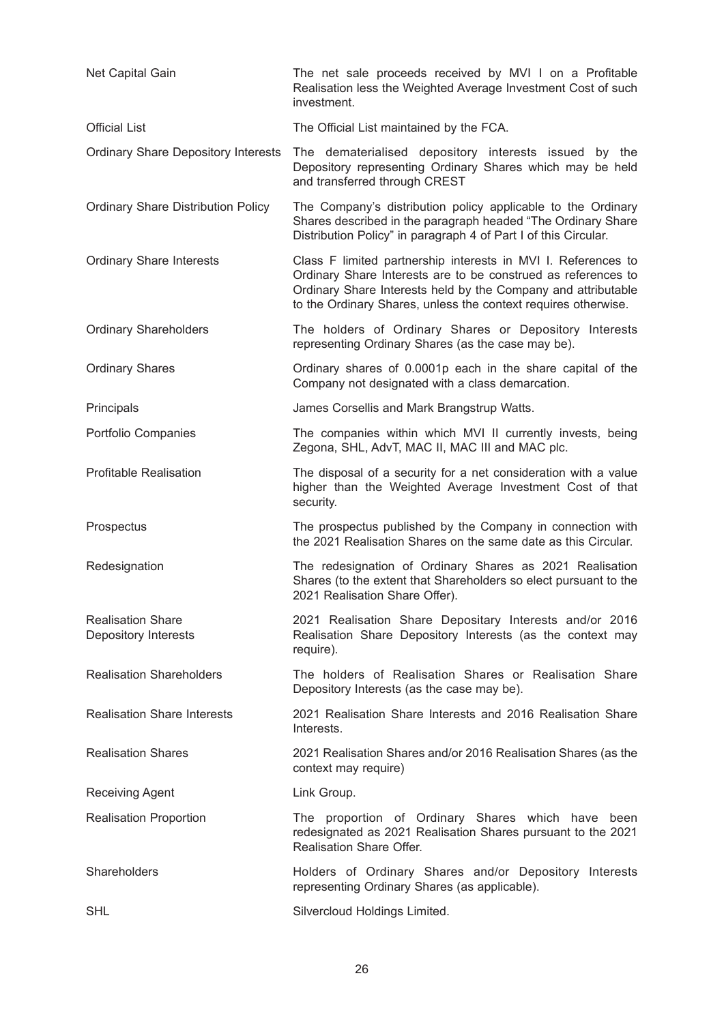| Net Capital Gain                                        | The net sale proceeds received by MVI I on a Profitable<br>Realisation less the Weighted Average Investment Cost of such<br>investment.                                                                                                                           |
|---------------------------------------------------------|-------------------------------------------------------------------------------------------------------------------------------------------------------------------------------------------------------------------------------------------------------------------|
| <b>Official List</b>                                    | The Official List maintained by the FCA.                                                                                                                                                                                                                          |
| <b>Ordinary Share Depository Interests</b>              | The dematerialised depository interests issued by the<br>Depository representing Ordinary Shares which may be held<br>and transferred through CREST                                                                                                               |
| <b>Ordinary Share Distribution Policy</b>               | The Company's distribution policy applicable to the Ordinary<br>Shares described in the paragraph headed "The Ordinary Share<br>Distribution Policy" in paragraph 4 of Part I of this Circular.                                                                   |
| <b>Ordinary Share Interests</b>                         | Class F limited partnership interests in MVI I. References to<br>Ordinary Share Interests are to be construed as references to<br>Ordinary Share Interests held by the Company and attributable<br>to the Ordinary Shares, unless the context requires otherwise. |
| <b>Ordinary Shareholders</b>                            | The holders of Ordinary Shares or Depository Interests<br>representing Ordinary Shares (as the case may be).                                                                                                                                                      |
| <b>Ordinary Shares</b>                                  | Ordinary shares of 0.0001p each in the share capital of the<br>Company not designated with a class demarcation.                                                                                                                                                   |
| Principals                                              | James Corsellis and Mark Brangstrup Watts.                                                                                                                                                                                                                        |
| Portfolio Companies                                     | The companies within which MVI II currently invests, being<br>Zegona, SHL, AdvT, MAC II, MAC III and MAC plc.                                                                                                                                                     |
| <b>Profitable Realisation</b>                           | The disposal of a security for a net consideration with a value<br>higher than the Weighted Average Investment Cost of that<br>security.                                                                                                                          |
| Prospectus                                              | The prospectus published by the Company in connection with<br>the 2021 Realisation Shares on the same date as this Circular.                                                                                                                                      |
| Redesignation                                           | The redesignation of Ordinary Shares as 2021 Realisation<br>Shares (to the extent that Shareholders so elect pursuant to the<br>2021 Realisation Share Offer).                                                                                                    |
| <b>Realisation Share</b><br><b>Depository Interests</b> | 2021 Realisation Share Depositary Interests and/or 2016<br>Realisation Share Depository Interests (as the context may<br>require).                                                                                                                                |
| <b>Realisation Shareholders</b>                         | The holders of Realisation Shares or Realisation Share<br>Depository Interests (as the case may be).                                                                                                                                                              |
| <b>Realisation Share Interests</b>                      | 2021 Realisation Share Interests and 2016 Realisation Share<br>Interests.                                                                                                                                                                                         |
| <b>Realisation Shares</b>                               | 2021 Realisation Shares and/or 2016 Realisation Shares (as the<br>context may require)                                                                                                                                                                            |
| <b>Receiving Agent</b>                                  | Link Group.                                                                                                                                                                                                                                                       |
| <b>Realisation Proportion</b>                           | The proportion of Ordinary Shares which have been<br>redesignated as 2021 Realisation Shares pursuant to the 2021<br>Realisation Share Offer.                                                                                                                     |
| Shareholders                                            | Holders of Ordinary Shares and/or Depository Interests<br>representing Ordinary Shares (as applicable).                                                                                                                                                           |
| <b>SHL</b>                                              | Silvercloud Holdings Limited.                                                                                                                                                                                                                                     |